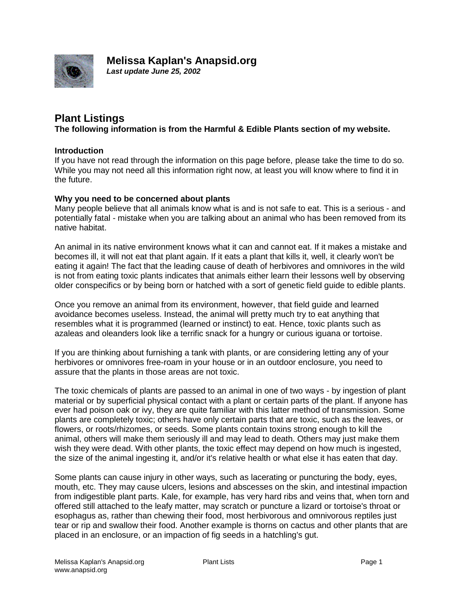

**Melissa Kaplan's Anapsid.org**

*Last update June 25, 2002*

# **Plant Listings**

**The following information is from the Harmful & Edible Plants section of my website.**

### **Introduction**

If you have not read through the information on this page before, please take the time to do so. While you may not need all this information right now, at least you will know where to find it in the future.

### **Why you need to be concerned about plants**

Many people believe that all animals know what is and is not safe to eat. This is a serious - and potentially fatal - mistake when you are talking about an animal who has been removed from its native habitat.

An animal in its native environment knows what it can and cannot eat. If it makes a mistake and becomes ill, it will not eat that plant again. If it eats a plant that kills it, well, it clearly won't be eating it again! The fact that the leading cause of death of herbivores and omnivores in the wild is not from eating toxic plants indicates that animals either learn their lessons well by observing older conspecifics or by being born or hatched with a sort of genetic field guide to edible plants.

Once you remove an animal from its environment, however, that field guide and learned avoidance becomes useless. Instead, the animal will pretty much try to eat anything that resembles what it is programmed (learned or instinct) to eat. Hence, toxic plants such as azaleas and oleanders look like a terrific snack for a hungry or curious iguana or tortoise.

If you are thinking about furnishing a tank with plants, or are considering letting any of your herbivores or omnivores free-roam in your house or in an outdoor enclosure, you need to assure that the plants in those areas are not toxic.

The toxic chemicals of plants are passed to an animal in one of two ways - by ingestion of plant material or by superficial physical contact with a plant or certain parts of the plant. If anyone has ever had poison oak or ivy, they are quite familiar with this latter method of transmission. Some plants are completely toxic; others have only certain parts that are toxic, such as the leaves, or flowers, or roots/rhizomes, or seeds. Some plants contain toxins strong enough to kill the animal, others will make them seriously ill and may lead to death. Others may just make them wish they were dead. With other plants, the toxic effect may depend on how much is ingested, the size of the animal ingesting it, and/or it's relative health or what else it has eaten that day.

Some plants can cause injury in other ways, such as lacerating or puncturing the body, eyes, mouth, etc. They may cause ulcers, lesions and abscesses on the skin, and intestinal impaction from indigestible plant parts. Kale, for example, has very hard ribs and veins that, when torn and offered still attached to the leafy matter, may scratch or puncture a lizard or tortoise's throat or esophagus as, rather than chewing their food, most herbivorous and omnivorous reptiles just tear or rip and swallow their food. Another example is thorns on cactus and other plants that are placed in an enclosure, or an impaction of fig seeds in a hatchling's gut.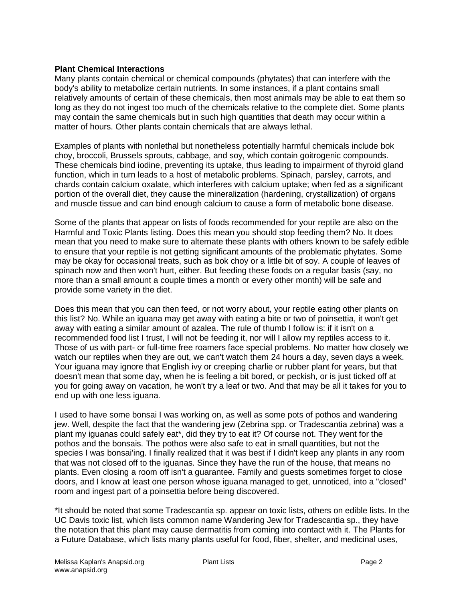### **Plant Chemical Interactions**

Many plants contain chemical or chemical compounds (phytates) that can interfere with the body's ability to metabolize certain nutrients. In some instances, if a plant contains small relatively amounts of certain of these chemicals, then most animals may be able to eat them so long as they do not ingest too much of the chemicals relative to the complete diet. Some plants may contain the same chemicals but in such high quantities that death may occur within a matter of hours. Other plants contain chemicals that are always lethal.

Examples of plants with nonlethal but nonetheless potentially harmful chemicals include bok choy, broccoli, Brussels sprouts, cabbage, and soy, which contain goitrogenic compounds. These chemicals bind iodine, preventing its uptake, thus leading to impairment of thyroid gland function, which in turn leads to a host of metabolic problems. Spinach, parsley, carrots, and chards contain calcium oxalate, which interferes with calcium uptake; when fed as a significant portion of the overall diet, they cause the mineralization (hardening, crystallization) of organs and muscle tissue and can bind enough calcium to cause a form of metabolic bone disease.

Some of the plants that appear on lists of foods recommended for your reptile are also on the Harmful and Toxic Plants listing. Does this mean you should stop feeding them? No. It does mean that you need to make sure to alternate these plants with others known to be safely edible to ensure that your reptile is not getting significant amounts of the problematic phytates. Some may be okay for occasional treats, such as bok choy or a little bit of soy. A couple of leaves of spinach now and then won't hurt, either. But feeding these foods on a regular basis (say, no more than a small amount a couple times a month or every other month) will be safe and provide some variety in the diet.

Does this mean that you can then feed, or not worry about, your reptile eating other plants on this list? No. While an iguana may get away with eating a bite or two of poinsettia, it won't get away with eating a similar amount of azalea. The rule of thumb I follow is: if it isn't on a recommended food list I trust, I will not be feeding it, nor will I allow my reptiles access to it. Those of us with part- or full-time free roamers face special problems. No matter how closely we watch our reptiles when they are out, we can't watch them 24 hours a day, seven days a week. Your iguana may ignore that English ivy or creeping charlie or rubber plant for years, but that doesn't mean that some day, when he is feeling a bit bored, or peckish, or is just ticked off at you for going away on vacation, he won't try a leaf or two. And that may be all it takes for you to end up with one less iguana.

I used to have some bonsai I was working on, as well as some pots of pothos and wandering jew. Well, despite the fact that the wandering jew (Zebrina spp. or Tradescantia zebrina) was a plant my iguanas could safely eat\*, did they try to eat it? Of course not. They went for the pothos and the bonsais. The pothos were also safe to eat in small quantities, but not the species I was bonsai'ing. I finally realized that it was best if I didn't keep any plants in any room that was not closed off to the iguanas. Since they have the run of the house, that means no plants. Even closing a room off isn't a guarantee. Family and guests sometimes forget to close doors, and I know at least one person whose iguana managed to get, unnoticed, into a "closed" room and ingest part of a poinsettia before being discovered.

\*It should be noted that some Tradescantia sp. appear on toxic lists, others on edible lists. In the UC Davis toxic list, which lists common name Wandering Jew for Tradescantia sp., they have the notation that this plant may cause dermatitis from coming into contact with it. The Plants for a Future Database, which lists many plants useful for food, fiber, shelter, and medicinal uses,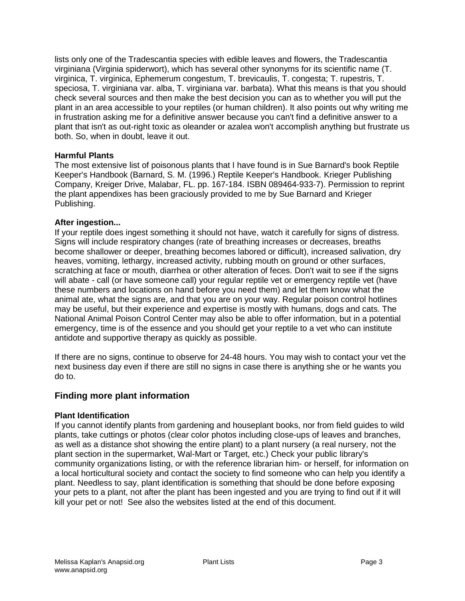lists only one of the Tradescantia species with edible leaves and flowers, the Tradescantia virginiana (Virginia spiderwort), which has several other synonyms for its scientific name (T. virginica, T. virginica, Ephemerum congestum, T. brevicaulis, T. congesta; T. rupestris, T. speciosa, T. virginiana var. alba, T. virginiana var. barbata). What this means is that you should check several sources and then make the best decision you can as to whether you will put the plant in an area accessible to your reptiles (or human children). It also points out why writing me in frustration asking me for a definitive answer because you can't find a definitive answer to a plant that isn't as out-right toxic as oleander or azalea won't accomplish anything but frustrate us both. So, when in doubt, leave it out.

### **Harmful Plants**

The most extensive list of poisonous plants that I have found is in Sue Barnard's book Reptile Keeper's Handbook (Barnard, S. M. (1996.) Reptile Keeper's Handbook. Krieger Publishing Company, Kreiger Drive, Malabar, FL. pp. 167-184. ISBN 089464-933-7). Permission to reprint the plant appendixes has been graciously provided to me by Sue Barnard and Krieger Publishing.

### **After ingestion...**

If your reptile does ingest something it should not have, watch it carefully for signs of distress. Signs will include respiratory changes (rate of breathing increases or decreases, breaths become shallower or deeper, breathing becomes labored or difficult), increased salivation, dry heaves, vomiting, lethargy, increased activity, rubbing mouth on ground or other surfaces, scratching at face or mouth, diarrhea or other alteration of feces. Don't wait to see if the signs will abate - call (or have someone call) your regular reptile vet or emergency reptile vet (have these numbers and locations on hand before you need them) and let them know what the animal ate, what the signs are, and that you are on your way. Regular poison control hotlines may be useful, but their experience and expertise is mostly with humans, dogs and cats. The National Animal Poison Control Center may also be able to offer information, but in a potential emergency, time is of the essence and you should get your reptile to a vet who can institute antidote and supportive therapy as quickly as possible.

If there are no signs, continue to observe for 24-48 hours. You may wish to contact your vet the next business day even if there are still no signs in case there is anything she or he wants you do to.

### **Finding more plant information**

### **Plant Identification**

If you cannot identify plants from gardening and houseplant books, nor from field guides to wild plants, take cuttings or photos (clear color photos including close-ups of leaves and branches, as well as a distance shot showing the entire plant) to a plant nursery (a real nursery, not the plant section in the supermarket, Wal-Mart or Target, etc.) Check your public library's community organizations listing, or with the reference librarian him- or herself, for information on a local horticultural society and contact the society to find someone who can help you identify a plant. Needless to say, plant identification is something that should be done before exposing your pets to a plant, not after the plant has been ingested and you are trying to find out if it will kill your pet or not! See also the websites listed at the end of this document.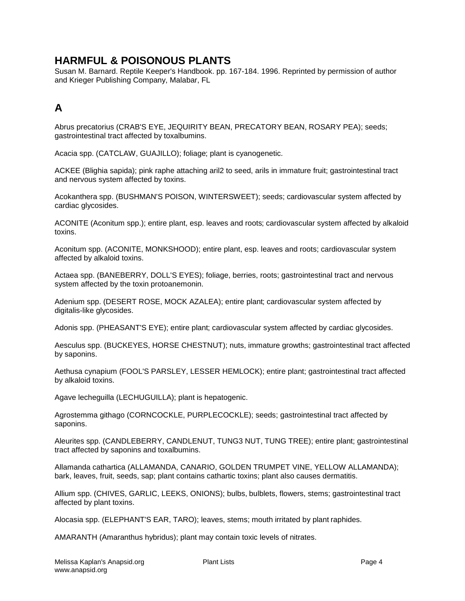## **HARMFUL & POISONOUS PLANTS**

Susan M. Barnard. Reptile Keeper's Handbook. pp. 167-184. 1996. Reprinted by permission of author and Krieger Publishing Company, Malabar, FL

# **A**

Abrus precatorius (CRAB'S EYE, JEQUIRITY BEAN, PRECATORY BEAN, ROSARY PEA); seeds; gastrointestinal tract affected by toxalbumins.

Acacia spp. (CATCLAW, GUAJILLO); foliage; plant is cyanogenetic.

ACKEE (Blighia sapida); pink raphe attaching aril2 to seed, arils in immature fruit; gastrointestinal tract and nervous system affected by toxins.

Acokanthera spp. (BUSHMAN'S POISON, WINTERSWEET); seeds; cardiovascular system affected by cardiac glycosides.

ACONITE (Aconitum spp.); entire plant, esp. leaves and roots; cardiovascular system affected by alkaloid toxins.

Aconitum spp. (ACONITE, MONKSHOOD); entire plant, esp. leaves and roots; cardiovascular system affected by alkaloid toxins.

Actaea spp. (BANEBERRY, DOLL'S EYES); foliage, berries, roots; gastrointestinal tract and nervous system affected by the toxin protoanemonin.

Adenium spp. (DESERT ROSE, MOCK AZALEA); entire plant; cardiovascular system affected by digitalis-like glycosides.

Adonis spp. (PHEASANT'S EYE); entire plant; cardiovascular system affected by cardiac glycosides.

Aesculus spp. (BUCKEYES, HORSE CHESTNUT); nuts, immature growths; gastrointestinal tract affected by saponins.

Aethusa cynapium (FOOL'S PARSLEY, LESSER HEMLOCK); entire plant; gastrointestinal tract affected by alkaloid toxins.

Agave lecheguilla (LECHUGUILLA); plant is hepatogenic.

Agrostemma githago (CORNCOCKLE, PURPLECOCKLE); seeds; gastrointestinal tract affected by saponins.

Aleurites spp. (CANDLEBERRY, CANDLENUT, TUNG3 NUT, TUNG TREE); entire plant; gastrointestinal tract affected by saponins and toxalbumins.

Allamanda cathartica (ALLAMANDA, CANARIO, GOLDEN TRUMPET VINE, YELLOW ALLAMANDA); bark, leaves, fruit, seeds, sap; plant contains cathartic toxins; plant also causes dermatitis.

Allium spp. (CHIVES, GARLIC, LEEKS, ONIONS); bulbs, bulblets, flowers, stems; gastrointestinal tract affected by plant toxins.

Alocasia spp. (ELEPHANT'S EAR, TARO); leaves, stems; mouth irritated by plant raphides.

AMARANTH (Amaranthus hybridus); plant may contain toxic levels of nitrates.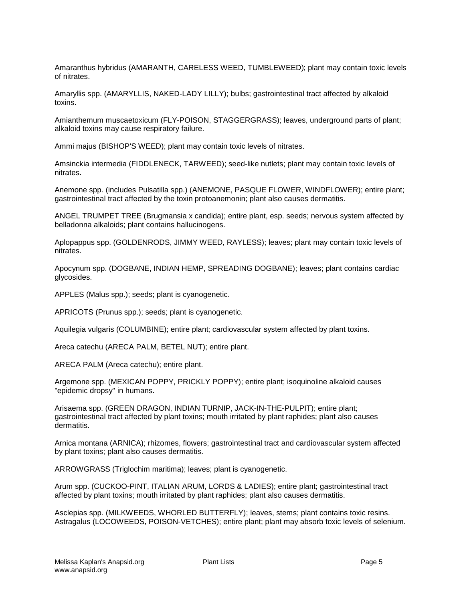Amaranthus hybridus (AMARANTH, CARELESS WEED, TUMBLEWEED); plant may contain toxic levels of nitrates.

Amaryllis spp. (AMARYLLIS, NAKED-LADY LILLY); bulbs; gastrointestinal tract affected by alkaloid toxins.

Amianthemum muscaetoxicum (FLY-POISON, STAGGERGRASS); leaves, underground parts of plant; alkaloid toxins may cause respiratory failure.

Ammi majus (BISHOP'S WEED); plant may contain toxic levels of nitrates.

Amsinckia intermedia (FIDDLENECK, TARWEED); seed-like nutlets; plant may contain toxic levels of nitrates.

Anemone spp. (includes Pulsatilla spp.) (ANEMONE, PASQUE FLOWER, WINDFLOWER); entire plant; gastrointestinal tract affected by the toxin protoanemonin; plant also causes dermatitis.

ANGEL TRUMPET TREE (Brugmansia x candida); entire plant, esp. seeds; nervous system affected by belladonna alkaloids; plant contains hallucinogens.

Aplopappus spp. (GOLDENRODS, JIMMY WEED, RAYLESS); leaves; plant may contain toxic levels of nitrates.

Apocynum spp. (DOGBANE, INDIAN HEMP, SPREADING DOGBANE); leaves; plant contains cardiac glycosides.

APPLES (Malus spp.); seeds; plant is cyanogenetic.

APRICOTS (Prunus spp.); seeds; plant is cyanogenetic.

Aquilegia vulgaris (COLUMBINE); entire plant; cardiovascular system affected by plant toxins.

Areca catechu (ARECA PALM, BETEL NUT); entire plant.

ARECA PALM (Areca catechu); entire plant.

Argemone spp. (MEXICAN POPPY, PRICKLY POPPY); entire plant; isoquinoline alkaloid causes "epidemic dropsy" in humans.

Arisaema spp. (GREEN DRAGON, INDIAN TURNIP, JACK-IN-THE-PULPIT); entire plant; gastrointestinal tract affected by plant toxins; mouth irritated by plant raphides; plant also causes dermatitis.

Arnica montana (ARNICA); rhizomes, flowers; gastrointestinal tract and cardiovascular system affected by plant toxins; plant also causes dermatitis.

ARROWGRASS (Triglochim maritima); leaves; plant is cyanogenetic.

Arum spp. (CUCKOO-PINT, ITALIAN ARUM, LORDS & LADIES); entire plant; gastrointestinal tract affected by plant toxins; mouth irritated by plant raphides; plant also causes dermatitis.

Asclepias spp. (MILKWEEDS, WHORLED BUTTERFLY); leaves, stems; plant contains toxic resins. Astragalus (LOCOWEEDS, POISON-VETCHES); entire plant; plant may absorb toxic levels of selenium.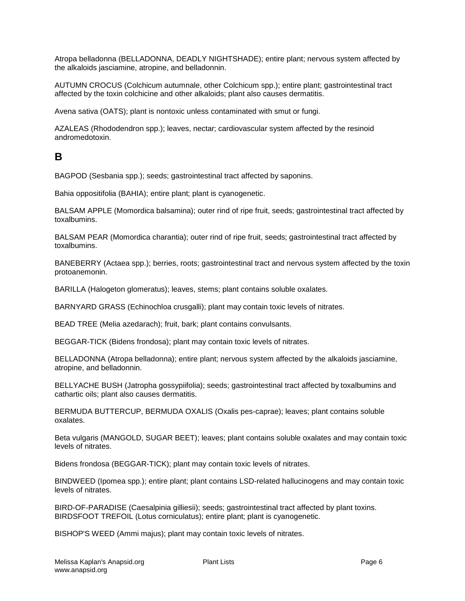Atropa belladonna (BELLADONNA, DEADLY NIGHTSHADE); entire plant; nervous system affected by the alkaloids jasciamine, atropine, and belladonnin.

AUTUMN CROCUS (Colchicum autumnale, other Colchicum spp.); entire plant; gastrointestinal tract affected by the toxin colchicine and other alkaloids; plant also causes dermatitis.

Avena sativa (OATS); plant is nontoxic unless contaminated with smut or fungi.

AZALEAS (Rhododendron spp.); leaves, nectar; cardiovascular system affected by the resinoid andromedotoxin.

### **B**

BAGPOD (Sesbania spp.); seeds; gastrointestinal tract affected by saponins.

Bahia oppositifolia (BAHIA); entire plant; plant is cyanogenetic.

BALSAM APPLE (Momordica balsamina); outer rind of ripe fruit, seeds; gastrointestinal tract affected by toxalbumins.

BALSAM PEAR (Momordica charantia); outer rind of ripe fruit, seeds; gastrointestinal tract affected by toxalbumins.

BANEBERRY (Actaea spp.); berries, roots; gastrointestinal tract and nervous system affected by the toxin protoanemonin.

BARILLA (Halogeton glomeratus); leaves, stems; plant contains soluble oxalates.

BARNYARD GRASS (Echinochloa crusgalli); plant may contain toxic levels of nitrates.

BEAD TREE (Melia azedarach); fruit, bark; plant contains convulsants.

BEGGAR-TICK (Bidens frondosa); plant may contain toxic levels of nitrates.

BELLADONNA (Atropa belladonna); entire plant; nervous system affected by the alkaloids jasciamine, atropine, and belladonnin.

BELLYACHE BUSH (Jatropha gossypiifolia); seeds; gastrointestinal tract affected by toxalbumins and cathartic oils; plant also causes dermatitis.

BERMUDA BUTTERCUP, BERMUDA OXALIS (Oxalis pes-caprae); leaves; plant contains soluble oxalates.

Beta vulgaris (MANGOLD, SUGAR BEET); leaves; plant contains soluble oxalates and may contain toxic levels of nitrates.

Bidens frondosa (BEGGAR-TICK); plant may contain toxic levels of nitrates.

BINDWEED (Ipomea spp.); entire plant; plant contains LSD-related hallucinogens and may contain toxic levels of nitrates.

BIRD-OF-PARADISE (Caesalpinia gilliesii); seeds; gastrointestinal tract affected by plant toxins. BIRDSFOOT TREFOIL (Lotus corniculatus); entire plant; plant is cyanogenetic.

BISHOP'S WEED (Ammi majus); plant may contain toxic levels of nitrates.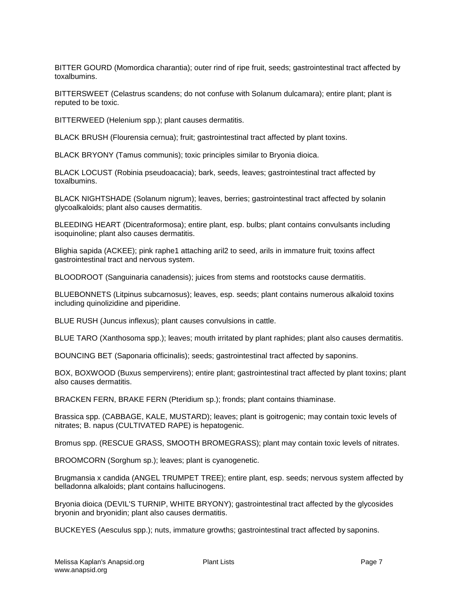BITTER GOURD (Momordica charantia); outer rind of ripe fruit, seeds; gastrointestinal tract affected by toxalbumins.

BITTERSWEET (Celastrus scandens; do not confuse with Solanum dulcamara); entire plant; plant is reputed to be toxic.

BITTERWEED (Helenium spp.); plant causes dermatitis.

BLACK BRUSH (Flourensia cernua); fruit; gastrointestinal tract affected by plant toxins.

BLACK BRYONY (Tamus communis); toxic principles similar to Bryonia dioica.

BLACK LOCUST (Robinia pseudoacacia); bark, seeds, leaves; gastrointestinal tract affected by toxalbumins.

BLACK NIGHTSHADE (Solanum nigrum); leaves, berries; gastrointestinal tract affected by solanin glycoalkaloids; plant also causes dermatitis.

BLEEDING HEART (Dicentraformosa); entire plant, esp. bulbs; plant contains convulsants including isoquinoline; plant also causes dermatitis.

Blighia sapida (ACKEE); pink raphe1 attaching aril2 to seed, arils in immature fruit; toxins affect gastrointestinal tract and nervous system.

BLOODROOT (Sanguinaria canadensis); juices from stems and rootstocks cause dermatitis.

BLUEBONNETS (Litpinus subcarnosus); leaves, esp. seeds; plant contains numerous alkaloid toxins including quinolizidine and piperidine.

BLUE RUSH (Juncus inflexus); plant causes convulsions in cattle.

BLUE TARO (Xanthosoma spp.); leaves; mouth irritated by plant raphides; plant also causes dermatitis.

BOUNCING BET (Saponaria officinalis); seeds; gastrointestinal tract affected by saponins.

BOX, BOXWOOD (Buxus sempervirens); entire plant; gastrointestinal tract affected by plant toxins; plant also causes dermatitis.

BRACKEN FERN, BRAKE FERN (Pteridium sp.); fronds; plant contains thiaminase.

Brassica spp. (CABBAGE, KALE, MUSTARD); leaves; plant is goitrogenic; may contain toxic levels of nitrates; B. napus (CULTIVATED RAPE) is hepatogenic.

Bromus spp. (RESCUE GRASS, SMOOTH BROMEGRASS); plant may contain toxic levels of nitrates.

BROOMCORN (Sorghum sp.); leaves; plant is cyanogenetic.

Brugmansia x candida (ANGEL TRUMPET TREE); entire plant, esp. seeds; nervous system affected by belladonna alkaloids; plant contains hallucinogens.

Bryonia dioica (DEVIL'S TURNIP, WHITE BRYONY); gastrointestinal tract affected by the glycosides bryonin and bryonidin; plant also causes dermatitis.

BUCKEYES (Aesculus spp.); nuts, immature growths; gastrointestinal tract affected by saponins.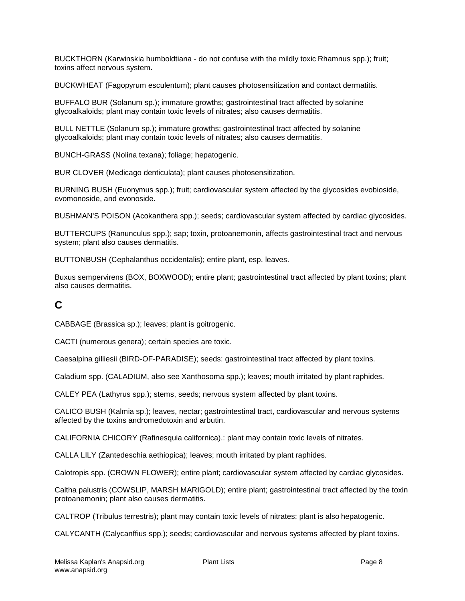BUCKTHORN (Karwinskia humboldtiana - do not confuse with the mildly toxic Rhamnus spp.); fruit; toxins affect nervous system.

BUCKWHEAT (Fagopyrum esculentum); plant causes photosensitization and contact dermatitis.

BUFFALO BUR (Solanum sp.); immature growths; gastrointestinal tract affected by solanine glycoalkaloids; plant may contain toxic levels of nitrates; also causes dermatitis.

BULL NETTLE (Solanum sp.); immature growths; gastrointestinal tract affected by solanine glycoalkaloids; plant may contain toxic levels of nitrates; also causes dermatitis.

BUNCH-GRASS (Nolina texana); foliage; hepatogenic.

BUR CLOVER (Medicago denticulata); plant causes photosensitization.

BURNING BUSH (Euonymus spp.); fruit; cardiovascular system affected by the glycosides evobioside, evomonoside, and evonoside.

BUSHMAN'S POISON (Acokanthera spp.); seeds; cardiovascular system affected by cardiac glycosides.

BUTTERCUPS (Ranunculus spp.); sap; toxin, protoanemonin, affects gastrointestinal tract and nervous system; plant also causes dermatitis.

BUTTONBUSH (Cephalanthus occidentalis); entire plant, esp. leaves.

Buxus sempervirens (BOX, BOXWOOD); entire plant; gastrointestinal tract affected by plant toxins; plant also causes dermatitis.

## **C**

CABBAGE (Brassica sp.); leaves; plant is goitrogenic.

CACTI (numerous genera); certain species are toxic.

Caesalpina gilliesii (BIRD-OF-PARADISE); seeds: gastrointestinal tract affected by plant toxins.

Caladium spp. (CALADIUM, also see Xanthosoma spp.); leaves; mouth irritated by plant raphides.

CALEY PEA (Lathyrus spp.); stems, seeds; nervous system affected by plant toxins.

CALICO BUSH (Kalmia sp.); leaves, nectar; gastrointestinal tract, cardiovascular and nervous systems affected by the toxins andromedotoxin and arbutin.

CALIFORNIA CHICORY (Rafinesquia californica).: plant may contain toxic levels of nitrates.

CALLA LILY (Zantedeschia aethiopica); leaves; mouth irritated by plant raphides.

Calotropis spp. (CROWN FLOWER); entire plant; cardiovascular system affected by cardiac glycosides.

Caltha palustris (COWSLIP, MARSH MARIGOLD); entire plant; gastrointestinal tract affected by the toxin protoanemonin; plant also causes dermatitis.

CALTROP (Tribulus terrestris); plant may contain toxic levels of nitrates; plant is also hepatogenic.

CALYCANTH (Calycanffius spp.); seeds; cardiovascular and nervous systems affected by plant toxins.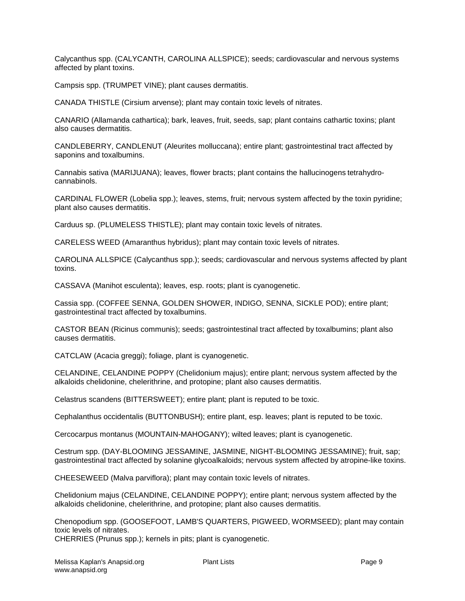Calycanthus spp. (CALYCANTH, CAROLINA ALLSPICE); seeds; cardiovascular and nervous systems affected by plant toxins.

Campsis spp. (TRUMPET VINE); plant causes dermatitis.

CANADA THISTLE (Cirsium arvense); plant may contain toxic levels of nitrates.

CANARIO (Allamanda cathartica); bark, leaves, fruit, seeds, sap; plant contains cathartic toxins; plant also causes dermatitis.

CANDLEBERRY, CANDLENUT (Aleurites molluccana); entire plant; gastrointestinal tract affected by saponins and toxalbumins.

Cannabis sativa (MARIJUANA); leaves, flower bracts; plant contains the hallucinogens tetrahydrocannabinols.

CARDINAL FLOWER (Lobelia spp.); leaves, stems, fruit; nervous system affected by the toxin pyridine; plant also causes dermatitis.

Carduus sp. (PLUMELESS THISTLE); plant may contain toxic levels of nitrates.

CARELESS WEED (Amaranthus hybridus); plant may contain toxic levels of nitrates.

CAROLINA ALLSPICE (Calycanthus spp.); seeds; cardiovascular and nervous systems affected by plant toxins.

CASSAVA (Manihot esculenta); leaves, esp. roots; plant is cyanogenetic.

Cassia spp. (COFFEE SENNA, GOLDEN SHOWER, INDIGO, SENNA, SICKLE POD); entire plant; gastrointestinal tract affected by toxalbumins.

CASTOR BEAN (Ricinus communis); seeds; gastrointestinal tract affected by toxalbumins; plant also causes dermatitis.

CATCLAW (Acacia greggi); foliage, plant is cyanogenetic.

CELANDINE, CELANDINE POPPY (Chelidonium majus); entire plant; nervous system affected by the alkaloids chelidonine, chelerithrine, and protopine; plant also causes dermatitis.

Celastrus scandens (BITTERSWEET); entire plant; plant is reputed to be toxic.

Cephalanthus occidentalis (BUTTONBUSH); entire plant, esp. leaves; plant is reputed to be toxic.

Cercocarpus montanus (MOUNTAIN-MAHOGANY); wilted leaves; plant is cyanogenetic.

Cestrum spp. (DAY-BLOOMING JESSAMINE, JASMINE, NIGHT-BLOOMING JESSAMINE); fruit, sap; gastrointestinal tract affected by solanine glycoalkaloids; nervous system affected by atropine-like toxins.

CHEESEWEED (Malva parviflora); plant may contain toxic levels of nitrates.

Chelidonium majus (CELANDINE, CELANDINE POPPY); entire plant; nervous system affected by the alkaloids chelidonine, chelerithrine, and protopine; plant also causes dermatitis.

Chenopodium spp. (GOOSEFOOT, LAMB'S QUARTERS, PIGWEED, WORMSEED); plant may contain toxic levels of nitrates.

CHERRIES (Prunus spp.); kernels in pits; plant is cyanogenetic.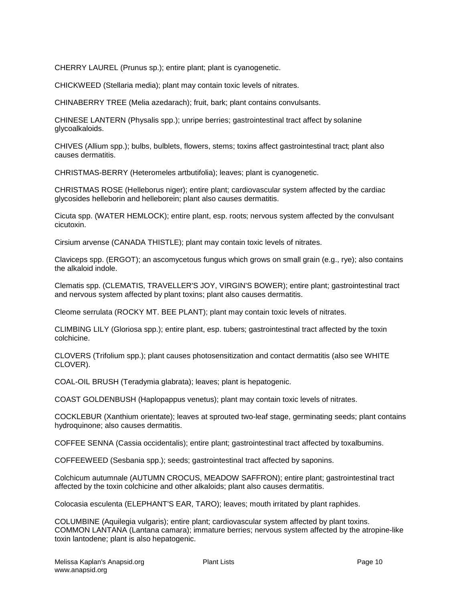CHERRY LAUREL (Prunus sp.); entire plant; plant is cyanogenetic.

CHICKWEED (Stellaria media); plant may contain toxic levels of nitrates.

CHINABERRY TREE (Melia azedarach); fruit, bark; plant contains convulsants.

CHINESE LANTERN (Physalis spp.); unripe berries; gastrointestinal tract affect by solanine glycoalkaloids.

CHIVES (Allium spp.); bulbs, bulblets, flowers, stems; toxins affect gastrointestinal tract; plant also causes dermatitis.

CHRISTMAS-BERRY (Heteromeles artbutifolia); leaves; plant is cyanogenetic.

CHRISTMAS ROSE (Helleborus niger); entire plant; cardiovascular system affected by the cardiac glycosides helleborin and helleborein; plant also causes dermatitis.

Cicuta spp. (WATER HEMLOCK); entire plant, esp. roots; nervous system affected by the convulsant cicutoxin.

Cirsium arvense (CANADA THISTLE); plant may contain toxic levels of nitrates.

Claviceps spp. (ERGOT); an ascomycetous fungus which grows on small grain (e.g., rye); also contains the alkaloid indole.

Clematis spp. (CLEMATIS, TRAVELLER'S JOY, VIRGIN'S BOWER); entire plant; gastrointestinal tract and nervous system affected by plant toxins; plant also causes dermatitis.

Cleome serrulata (ROCKY MT. BEE PLANT); plant may contain toxic levels of nitrates.

CLIMBING LILY (Gloriosa spp.); entire plant, esp. tubers; gastrointestinal tract affected by the toxin colchicine.

CLOVERS (Trifolium spp.); plant causes photosensitization and contact dermatitis (also see WHITE CLOVER).

COAL-OIL BRUSH (Teradymia glabrata); leaves; plant is hepatogenic.

COAST GOLDENBUSH (Haplopappus venetus); plant may contain toxic levels of nitrates.

COCKLEBUR (Xanthium orientate); leaves at sprouted two-leaf stage, germinating seeds; plant contains hydroquinone; also causes dermatitis.

COFFEE SENNA (Cassia occidentalis); entire plant; gastrointestinal tract affected by toxalbumins.

COFFEEWEED (Sesbania spp.); seeds; gastrointestinal tract affected by saponins.

Colchicum autumnale (AUTUMN CROCUS, MEADOW SAFFRON); entire plant; gastrointestinal tract affected by the toxin colchicine and other alkaloids; plant also causes dermatitis.

Colocasia esculenta (ELEPHANT'S EAR, TARO); leaves; mouth irritated by plant raphides.

COLUMBINE (Aquilegia vulgaris); entire plant; cardiovascular system affected by plant toxins. COMMON LANTANA (Lantana camara); immature berries; nervous system affected by the atropine-like toxin lantodene; plant is also hepatogenic.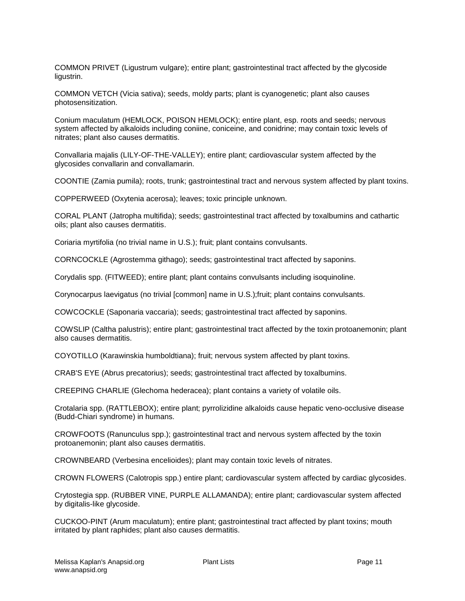COMMON PRIVET (Ligustrum vulgare); entire plant; gastrointestinal tract affected by the glycoside ligustrin.

COMMON VETCH (Vicia sativa); seeds, moldy parts; plant is cyanogenetic; plant also causes photosensitization.

Conium maculatum (HEMLOCK, POISON HEMLOCK); entire plant, esp. roots and seeds; nervous system affected by alkaloids including coniine, coniceine, and conidrine; may contain toxic levels of nitrates; plant also causes dermatitis.

Convallaria majalis (LILY-OF-THE-VALLEY); entire plant; cardiovascular system affected by the glycosides convallarin and convallamarin.

COONTIE (Zamia pumila); roots, trunk; gastrointestinal tract and nervous system affected by plant toxins.

COPPERWEED (Oxytenia acerosa); leaves; toxic principle unknown.

CORAL PLANT (Jatropha multifida); seeds; gastrointestinal tract affected by toxalbumins and cathartic oils; plant also causes dermatitis.

Coriaria myrtifolia (no trivial name in U.S.); fruit; plant contains convulsants.

CORNCOCKLE (Agrostemma githago); seeds; gastrointestinal tract affected by saponins.

Corydalis spp. (FITWEED); entire plant; plant contains convulsants including isoquinoline.

Corynocarpus laevigatus (no trivial [common] name in U.S.);fruit; plant contains convulsants.

COWCOCKLE (Saponaria vaccaria); seeds; gastrointestinal tract affected by saponins.

COWSLIP (Caltha palustris); entire plant; gastrointestinal tract affected by the toxin protoanemonin; plant also causes dermatitis.

COYOTILLO (Karawinskia humboldtiana); fruit; nervous system affected by plant toxins.

CRAB'S EYE (Abrus precatorius); seeds; gastrointestinal tract affected by toxalbumins.

CREEPING CHARLIE (Glechoma hederacea); plant contains a variety of volatile oils.

Crotalaria spp. (RATTLEBOX); entire plant; pyrrolizidine alkaloids cause hepatic veno-occlusive disease (Budd-Chiari syndrome) in humans.

CROWFOOTS (Ranunculus spp.); gastrointestinal tract and nervous system affected by the toxin protoanemonin; plant also causes dermatitis.

CROWNBEARD (Verbesina encelioides); plant may contain toxic levels of nitrates.

CROWN FLOWERS (Calotropis spp.) entire plant; cardiovascular system affected by cardiac glycosides.

Crytostegia spp. (RUBBER VINE, PURPLE ALLAMANDA); entire plant; cardiovascular system affected by digitalis-like glycoside.

CUCKOO-PINT (Arum maculatum); entire plant; gastrointestinal tract affected by plant toxins; mouth irritated by plant raphides; plant also causes dermatitis.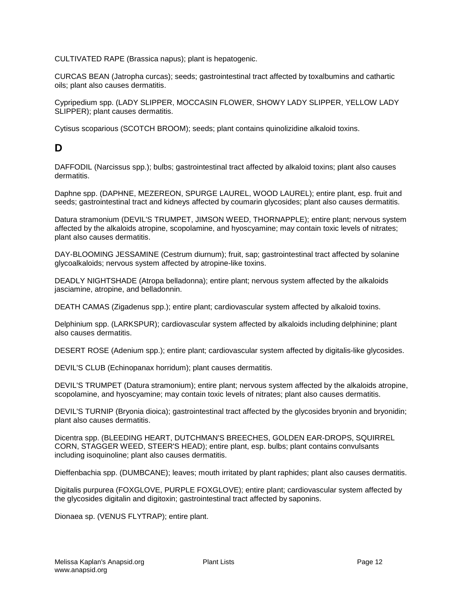CULTIVATED RAPE (Brassica napus); plant is hepatogenic.

CURCAS BEAN (Jatropha curcas); seeds; gastrointestinal tract affected by toxalbumins and cathartic oils; plant also causes dermatitis.

Cypripedium spp. (LADY SLIPPER, MOCCASIN FLOWER, SHOWY LADY SLIPPER, YELLOW LADY SLIPPER); plant causes dermatitis.

Cytisus scoparious (SCOTCH BROOM); seeds; plant contains quinolizidine alkaloid toxins.

### **D**

DAFFODIL (Narcissus spp.); bulbs; gastrointestinal tract affected by alkaloid toxins; plant also causes dermatitis.

Daphne spp. (DAPHNE, MEZEREON, SPURGE LAUREL, WOOD LAUREL); entire plant, esp. fruit and seeds; gastrointestinal tract and kidneys affected by coumarin glycosides; plant also causes dermatitis.

Datura stramonium (DEVIL'S TRUMPET, JIMSON WEED, THORNAPPLE); entire plant; nervous system affected by the alkaloids atropine, scopolamine, and hyoscyamine; may contain toxic levels of nitrates; plant also causes dermatitis.

DAY-BLOOMING JESSAMINE (Cestrum diurnum); fruit, sap; gastrointestinal tract affected by solanine glycoalkaloids; nervous system affected by atropine-like toxins.

DEADLY NIGHTSHADE (Atropa belladonna); entire plant; nervous system affected by the alkaloids jasciamine, atropine, and belladonnin.

DEATH CAMAS (Zigadenus spp.); entire plant; cardiovascular system affected by alkaloid toxins.

Delphinium spp. (LARKSPUR); cardiovascular system affected by alkaloids including delphinine; plant also causes dermatitis.

DESERT ROSE (Adenium spp.); entire plant; cardiovascular system affected by digitalis-like glycosides.

DEVIL'S CLUB (Echinopanax horridum); plant causes dermatitis.

DEVIL'S TRUMPET (Datura stramonium); entire plant; nervous system affected by the alkaloids atropine, scopolamine, and hyoscyamine; may contain toxic levels of nitrates; plant also causes dermatitis.

DEVIL'S TURNIP (Bryonia dioica); gastrointestinal tract affected by the glycosides bryonin and bryonidin; plant also causes dermatitis.

Dicentra spp. (BLEEDING HEART, DUTCHMAN'S BREECHES, GOLDEN EAR-DROPS, SQUIRREL CORN, STAGGER WEED, STEER'S HEAD); entire plant, esp. bulbs; plant contains convulsants including isoquinoline; plant also causes dermatitis.

Dieffenbachia spp. (DUMBCANE); leaves; mouth irritated by plant raphides; plant also causes dermatitis.

Digitalis purpurea (FOXGLOVE, PURPLE FOXGLOVE); entire plant; cardiovascular system affected by the glycosides digitalin and digitoxin; gastrointestinal tract affected by saponins.

Dionaea sp. (VENUS FLYTRAP); entire plant.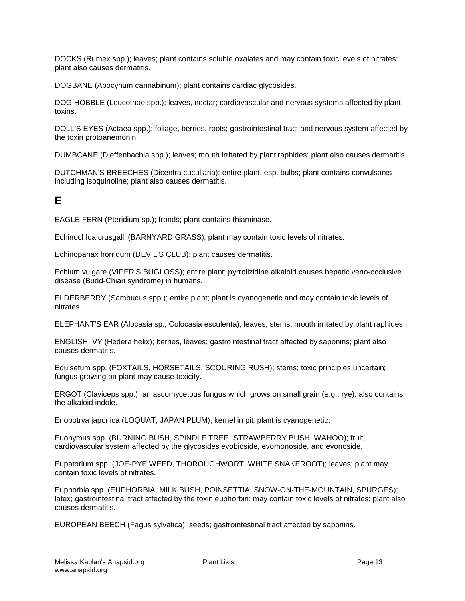DOCKS (Rumex spp.); leaves; plant contains soluble oxalates and may contain toxic levels of nitrates: plant also causes dermatitis.

DOGBANE (Apocynum cannabinum); plant contains cardiac glycosides.

DOG HOBBLE (Leucothoe spp.); leaves, nectar; cardiovascular and nervous systems affected by plant toxins.

DOLL'S EYES (Actaea spp.); foliage, berries, roots; gastrointestinal tract and nervous system affected by the toxin protoanemonin.

DUMBCANE (Dieffenbachia spp.); leaves; mouth irritated by plant raphides; plant also causes dermatitis.

DUTCHMAN'S BREECHES (Dicentra cucullaria); entire plant, esp. bulbs; plant contains convulsants including isoquinoline; plant also causes dermatitis.

### **E**

EAGLE FERN (Pteridium sp.); fronds; plant contains thiaminase.

Echinochloa crusgalli (BARNYARD GRASS); plant may contain toxic levels of nitrates.

Echinopanax horridum (DEVIL'S CLUB); plant causes dermatitis.

Echium vulgare (VIPER'S BUGLOSS); entire plant; pyrrolizidine alkaloid causes hepatic veno-occlusive disease (Budd-Chiari syndrome) in humans.

ELDERBERRY (Sambucus spp.); entire plant; plant is cyanogenetic and may contain toxic levels of nitrates.

ELEPHANT'S EAR (Alocasia sp., Colocasia esculenta); leaves, stems; mouth irritated by plant raphides.

ENGLISH IVY (Hedera helix); berries, leaves; gastrointestinal tract affected by saponins; plant also causes dermatitis.

Equisetum spp. (FOXTAILS, HORSETAILS, SCOURING RUSH); stems; toxic principles uncertain; fungus growing on plant may cause toxicity.

ERGOT (Claviceps spp.); an ascomycetous fungus which grows on small grain (e.g., rye); also contains the alkaloid indole.

Eriobotrya japonica (LOQUAT, JAPAN PLUM); kernel in pit; plant is cyanogenetic.

Euonymus spp. (BURNING BUSH, SPINDLE TREE, STRAWBERRY BUSH, WAHOO); fruit; cardiovascular system affected by the glycosides evobioside, evomonoside, and evonoside.

Eupatorium spp. (JOE-PYE WEED, THOROUGHWORT, WHITE SNAKEROOT); leaves; plant may contain toxic levels of nitrates.

Euphorbia spp. (EUPHORBIA, MILK BUSH, POINSETTIA, SNOW-ON-THE-MOUNTAIN, SPURGES); latex; gastrointestinal tract affected by the toxin euphorbin; may contain toxic levels of nitrates; plant also causes dermatitis.

EUROPEAN BEECH (Fagus sylvatica); seeds; gastrointestinal tract affected by saponins.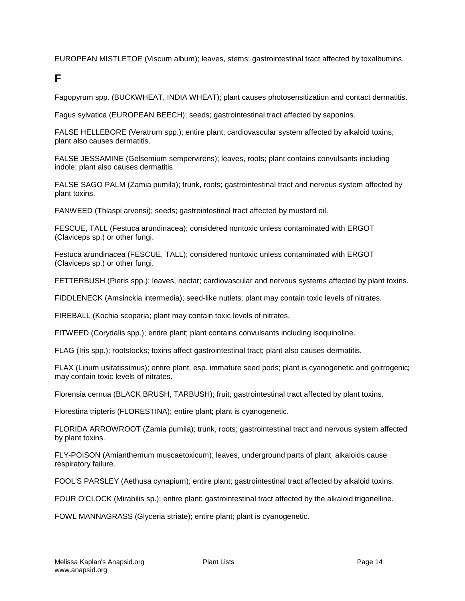EUROPEAN MISTLETOE (Viscum album); leaves, stems; gastrointestinal tract affected by toxalbumins.

**F**

Fagopyrum spp. (BUCKWHEAT, INDIA WHEAT); plant causes photosensitization and contact dermatitis.

Fagus sylvatica (EUROPEAN BEECH); seeds; gastrointestinal tract affected by saponins.

FALSE HELLEBORE (Veratrum spp.); entire plant; cardiovascular system affected by alkaloid toxins; plant also causes dermatitis.

FALSE JESSAMINE (Gelsemium sempervirens); leaves, roots; plant contains convulsants including indole; plant also causes dermatitis.

FALSE SAGO PALM (Zamia pumila); trunk, roots; gastrointestinal tract and nervous system affected by plant toxins.

FANWEED (Thlaspi arvensi); seeds; gastrointestinal tract affected by mustard oil.

FESCUE, TALL (Festuca arundinacea); considered nontoxic unless contaminated with ERGOT (Claviceps sp.) or other fungi.

Festuca arundinacea (FESCUE, TALL); considered nontoxic unless contaminated with ERGOT (Claviceps sp.) or other fungi.

FETTERBUSH (Pieris spp.); leaves, nectar; cardiovascular and nervous systems affected by plant toxins.

FIDDLENECK (Amsinckia intermedia); seed-like nutlets; plant may contain toxic levels of nitrates.

FIREBALL (Kochia scoparia; plant may contain toxic levels of nitrates.

FITWEED (Corydalis spp.); entire plant; plant contains convulsants including isoquinoline.

FLAG (Iris spp.); rootstocks; toxins affect gastrointestinal tract; plant also causes dermatitis.

FLAX (Linum usitatissimus); entire plant, esp. immature seed pods; plant is cyanogenetic and goitrogenic; may contain toxic levels of nitrates.

Florensia cernua (BLACK BRUSH, TARBUSH); fruit; gastrointestinal tract affected by plant toxins.

Florestina tripteris (FLORESTINA); entire plant; plant is cyanogenetic.

FLORIDA ARROWROOT (Zamia pumila); trunk, roots; gastrointestinal tract and nervous system affected by plant toxins.

FLY-POISON (Amianthemum muscaetoxicum); leaves, underground parts of plant; alkaloids cause respiratory failure.

FOOL'S PARSLEY (Aethusa cynapium); entire plant; gastrointestinal tract affected by alkaloid toxins.

FOUR O'CLOCK (Mirabilis sp.); entire plant; gastrointestinal tract affected by the alkaloid trigonelline.

FOWL MANNAGRASS (Glyceria striate); entire plant; plant is cyanogenetic.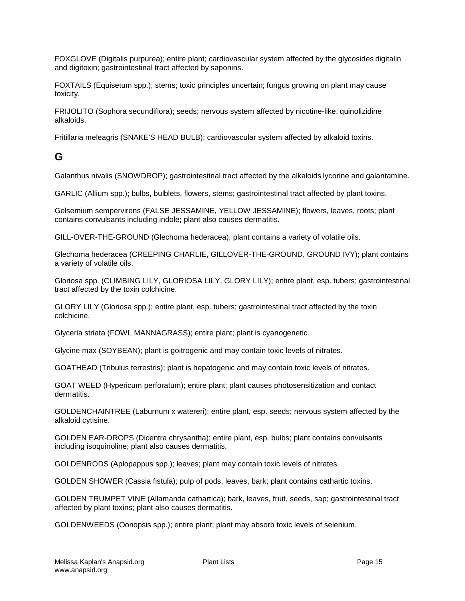FOXGLOVE (Digitalis purpurea); entire plant; cardiovascular system affected by the glycosides digitalin and digitoxin; gastrointestinal tract affected by saponins.

FOXTAILS (Equisetum spp.); stems; toxic principles uncertain; fungus growing on plant may cause toxicity.

FRIJOLITO (Sophora secundiflora); seeds; nervous system affected by nicotine-like, quinolizidine alkaloids.

Fritillaria meleagris (SNAKE'S HEAD BULB); cardiovascular system affected by alkaloid toxins.

## **G**

Galanthus nivalis (SNOWDROP); gastrointestinal tract affected by the alkaloids lycorine and galantamine.

GARLIC (Allium spp.); bulbs, bulblets, flowers, stems; gastrointestinal tract affected by plant toxins.

Gelsemium sempervirens (FALSE JESSAMINE, YELLOW JESSAMINE); flowers, leaves, roots; plant contains convulsants including indole; plant also causes dermatitis.

GILL-OVER-THE-GROUND (Glechoma hederacea); plant contains a variety of volatile oils.

Glechoma hederacea (CREEPING CHARLIE, GILLOVER-THE-GROUND, GROUND IVY); plant contains a variety of volatile oils.

Gloriosa spp. (CLIMBING LILY, GLORIOSA LILY, GLORY LILY); entire plant, esp. tubers; gastrointestinal tract affected by the toxin colchicine.

GLORY LILY (Gloriosa spp.); entire plant, esp. tubers; gastrointestinal tract affected by the toxin colchicine.

Glyceria striata (FOWL MANNAGRASS); entire plant; plant is cyanogenetic.

Glycine max (SOYBEAN); plant is goitrogenic and may contain toxic levels of nitrates.

GOATHEAD (Tribulus terrestris); plant is hepatogenic and may contain toxic levels of nitrates.

GOAT WEED (Hypericum perforatum); entire plant; plant causes photosensitization and contact dermatitis.

GOLDENCHAINTREE (Laburnum x watereri); entire plant, esp. seeds; nervous system affected by the alkaloid cytisine.

GOLDEN EAR-DROPS (Dicentra chrysantha); entire plant, esp. bulbs; plant contains convulsants including isoquinoline; plant also causes dermatitis.

GOLDENRODS (Aplopappus spp.); leaves; plant may contain toxic levels of nitrates.

GOLDEN SHOWER (Cassia fistula); pulp of pods, leaves, bark; plant contains cathartic toxins.

GOLDEN TRUMPET VINE (Allamanda cathartica); bark, leaves, fruit, seeds, sap; gastrointestinal tract affected by plant toxins; plant also causes dermatitis.

GOLDENWEEDS (Oonopsis spp.); entire plant; plant may absorb toxic levels of selenium.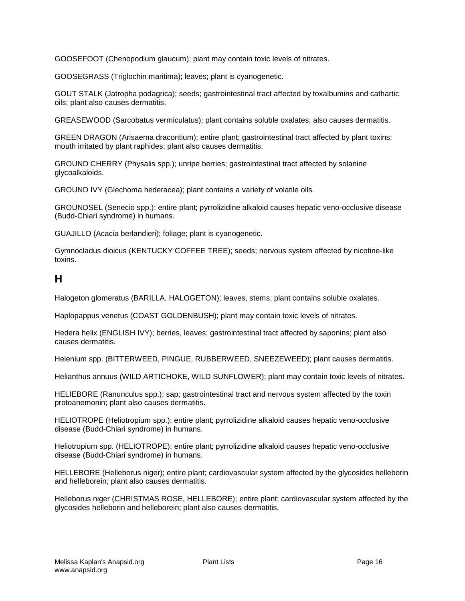GOOSEFOOT (Chenopodium glaucum); plant may contain toxic levels of nitrates.

GOOSEGRASS (Triglochin maritima); leaves; plant is cyanogenetic.

GOUT STALK (Jatropha podagrica); seeds; gastrointestinal tract affected by toxalbumins and cathartic oils; plant also causes dermatitis.

GREASEWOOD (Sarcobatus vermiculatus); plant contains soluble oxalates; also causes dermatitis.

GREEN DRAGON (Arisaema dracontium); entire plant; gastrointestinal tract affected by plant toxins; mouth irritated by plant raphides; plant also causes dermatitis.

GROUND CHERRY (Physalis spp.); unripe berries; gastrointestinal tract affected by solanine glycoalkaloids.

GROUND IVY (Glechoma hederacea); plant contains a variety of volatile oils.

GROUNDSEL (Senecio spp.); entire plant; pyrrolizidine alkaloid causes hepatic veno-occlusive disease (Budd-Chiari syndrome) in humans.

GUAJILLO (Acacia berlandieri); foliage; plant is cyanogenetic.

Gymnocladus dioicus (KENTUCKY COFFEE TREE); seeds; nervous system affected by nicotine-like toxins.

### **H**

Halogeton glomeratus (BARILLA, HALOGETON); leaves, stems; plant contains soluble oxalates.

Haplopappus venetus (COAST GOLDENBUSH); plant may contain toxic levels of nitrates.

Hedera helix (ENGLISH IVY); berries, leaves; gastrointestinal tract affected by saponins; plant also causes dermatitis.

Helenium spp. (BITTERWEED, PINGUE, RUBBERWEED, SNEEZEWEED); plant causes dermatitis.

Helianthus annuus (WILD ARTICHOKE, WILD SUNFLOWER); plant may contain toxic levels of nitrates.

HELIEBORE (Ranunculus spp.); sap; gastrointestinal tract and nervous system affected by the toxin protoanemonin; plant also causes dermatitis.

HELIOTROPE (Heliotropium spp.); entire plant; pyrrolizidine alkaloid causes hepatic veno-occlusive disease (Budd-Chiari syndrome) in humans.

Heliotropium spp. (HELIOTROPE); entire plant; pyrrolizidine alkaloid causes hepatic veno-occlusive disease (Budd-Chiari syndrome) in humans.

HELLEBORE (Helleborus niger); entire plant; cardiovascular system affected by the glycosides helleborin and helleborein; plant also causes dermatitis.

Helleborus niger (CHRISTMAS ROSE, HELLEBORE); entire plant; cardiovascular system affected by the glycosides helleborin and helleborein; plant also causes dermatitis.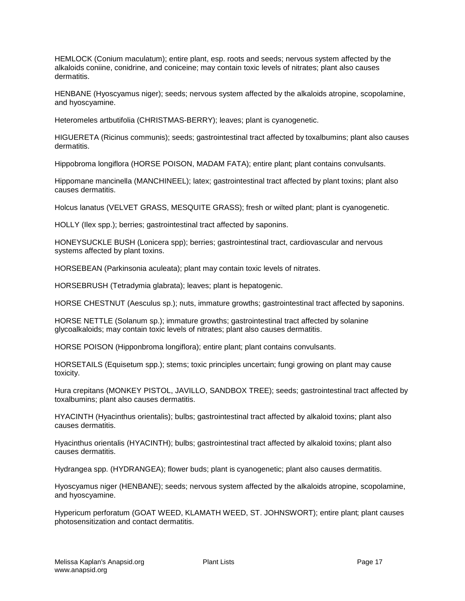HEMLOCK (Conium maculatum); entire plant, esp. roots and seeds; nervous system affected by the alkaloids coniine, conidrine, and coniceine; may contain toxic levels of nitrates; plant also causes dermatitis.

HENBANE (Hyoscyamus niger); seeds; nervous system affected by the alkaloids atropine, scopolamine, and hyoscyamine.

Heteromeles artbutifolia (CHRISTMAS-BERRY); leaves; plant is cyanogenetic.

HIGUERETA (Ricinus communis); seeds; gastrointestinal tract affected by toxalbumins; plant also causes dermatitis.

Hippobroma longiflora (HORSE POISON, MADAM FATA); entire plant; plant contains convulsants.

Hippomane mancinella (MANCHINEEL); latex; gastrointestinal tract affected by plant toxins; plant also causes dermatitis.

Holcus lanatus (VELVET GRASS, MESQUITE GRASS); fresh or wilted plant; plant is cyanogenetic.

HOLLY (Ilex spp.); berries; gastrointestinal tract affected by saponins.

HONEYSUCKLE BUSH (Lonicera spp); berries; gastrointestinal tract, cardiovascular and nervous systems affected by plant toxins.

HORSEBEAN (Parkinsonia aculeata); plant may contain toxic levels of nitrates.

HORSEBRUSH (Tetradymia glabrata); leaves; plant is hepatogenic.

HORSE CHESTNUT (Aesculus sp.); nuts, immature growths; gastrointestinal tract affected by saponins.

HORSE NETTLE (Solanum sp.); immature growths; gastrointestinal tract affected by solanine glycoalkaloids; may contain toxic levels of nitrates; plant also causes dermatitis.

HORSE POISON (Hipponbroma longiflora); entire plant; plant contains convulsants.

HORSETAILS (Equisetum spp.); stems; toxic principles uncertain; fungi growing on plant may cause toxicity.

Hura crepitans (MONKEY PISTOL, JAVILLO, SANDBOX TREE); seeds; gastrointestinal tract affected by toxalbumins; plant also causes dermatitis.

HYACINTH (Hyacinthus orientalis); bulbs; gastrointestinal tract affected by alkaloid toxins; plant also causes dermatitis.

Hyacinthus orientalis (HYACINTH); bulbs; gastrointestinal tract affected by alkaloid toxins; plant also causes dermatitis.

Hydrangea spp. (HYDRANGEA); flower buds; plant is cyanogenetic; plant also causes dermatitis.

Hyoscyamus niger (HENBANE); seeds; nervous system affected by the alkaloids atropine, scopolamine, and hyoscyamine.

Hypericum perforatum (GOAT WEED, KLAMATH WEED, ST. JOHNSWORT); entire plant; plant causes photosensitization and contact dermatitis.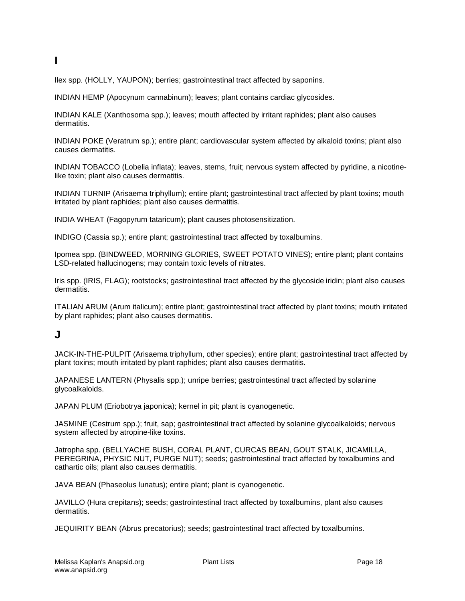# **I**

Ilex spp. (HOLLY, YAUPON); berries; gastrointestinal tract affected by saponins.

INDIAN HEMP (Apocynum cannabinum); leaves; plant contains cardiac glycosides.

INDIAN KALE (Xanthosoma spp.); leaves; mouth affected by irritant raphides; plant also causes dermatitis.

INDIAN POKE (Veratrum sp.); entire plant; cardiovascular system affected by alkaloid toxins; plant also causes dermatitis.

INDIAN TOBACCO (Lobelia inflata); leaves, stems, fruit; nervous system affected by pyridine, a nicotinelike toxin; plant also causes dermatitis.

INDIAN TURNIP (Arisaema triphyllum); entire plant; gastrointestinal tract affected by plant toxins; mouth irritated by plant raphides; plant also causes dermatitis.

INDIA WHEAT (Fagopyrum tataricum); plant causes photosensitization.

INDIGO (Cassia sp.); entire plant; gastrointestinal tract affected by toxalbumins.

Ipomea spp. (BINDWEED, MORNING GLORIES, SWEET POTATO VINES); entire plant; plant contains LSD-related hallucinogens; may contain toxic levels of nitrates.

Iris spp. (IRIS, FLAG); rootstocks; gastrointestinal tract affected by the glycoside iridin; plant also causes dermatitis.

ITALIAN ARUM (Arum italicum); entire plant; gastrointestinal tract affected by plant toxins; mouth irritated by plant raphides; plant also causes dermatitis.

### **J**

JACK-IN-THE-PULPIT (Arisaema triphyllum, other species); entire plant; gastrointestinal tract affected by plant toxins; mouth irritated by plant raphides; plant also causes dermatitis.

JAPANESE LANTERN (Physalis spp.); unripe berries; gastrointestinal tract affected by solanine glycoalkaloids.

JAPAN PLUM (Eriobotrya japonica); kernel in pit; plant is cyanogenetic.

JASMINE (Cestrum spp.); fruit, sap; gastrointestinal tract affected by solanine glycoalkaloids; nervous system affected by atropine-like toxins.

Jatropha spp. (BELLYACHE BUSH, CORAL PLANT, CURCAS BEAN, GOUT STALK, JICAMILLA, PEREGRINA, PHYSIC NUT, PURGE NUT); seeds; gastrointestinal tract affected by toxalbumins and cathartic oils; plant also causes dermatitis.

JAVA BEAN (Phaseolus lunatus); entire plant; plant is cyanogenetic.

JAVILLO (Hura crepitans); seeds; gastrointestinal tract affected by toxalbumins, plant also causes dermatitis.

JEQUIRITY BEAN (Abrus precatorius); seeds; gastrointestinal tract affected by toxalbumins.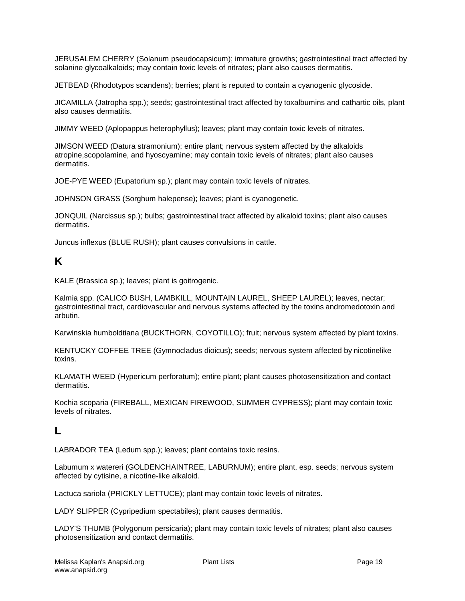JERUSALEM CHERRY (Solanum pseudocapsicum); immature growths; gastrointestinal tract affected by solanine glycoalkaloids; may contain toxic levels of nitrates; plant also causes dermatitis.

JETBEAD (Rhodotypos scandens); berries; plant is reputed to contain a cyanogenic glycoside.

JICAMILLA (Jatropha spp.); seeds; gastrointestinal tract affected by toxalbumins and cathartic oils, plant also causes dermatitis.

JIMMY WEED (Aplopappus heterophyllus); leaves; plant may contain toxic levels of nitrates.

JIMSON WEED (Datura stramonium); entire plant; nervous system affected by the alkaloids atropine,scopolamine, and hyoscyamine; may contain toxic levels of nitrates; plant also causes dermatitis.

JOE-PYE WEED (Eupatorium sp.); plant may contain toxic levels of nitrates.

JOHNSON GRASS (Sorghum halepense); leaves; plant is cyanogenetic.

JONQUIL (Narcissus sp.); bulbs; gastrointestinal tract affected by alkaloid toxins; plant also causes dermatitis.

Juncus inflexus (BLUE RUSH); plant causes convulsions in cattle.

## **K**

KALE (Brassica sp.); leaves; plant is goitrogenic.

Kalmia spp. (CALICO BUSH, LAMBKILL, MOUNTAIN LAUREL, SHEEP LAUREL); leaves, nectar; gastrointestinal tract, cardiovascular and nervous systems affected by the toxins andromedotoxin and arbutin.

Karwinskia humboldtiana (BUCKTHORN, COYOTILLO); fruit; nervous system affected by plant toxins.

KENTUCKY COFFEE TREE (Gymnocladus dioicus); seeds; nervous system affected by nicotinelike toxins.

KLAMATH WEED (Hypericum perforatum); entire plant; plant causes photosensitization and contact dermatitis.

Kochia scoparia (FIREBALL, MEXICAN FIREWOOD, SUMMER CYPRESS); plant may contain toxic levels of nitrates.

### **L**

LABRADOR TEA (Ledum spp.); leaves; plant contains toxic resins.

Labumum x watereri (GOLDENCHAINTREE, LABURNUM); entire plant, esp. seeds; nervous system affected by cytisine, a nicotine-like alkaloid.

Lactuca sariola (PRICKLY LETTUCE); plant may contain toxic levels of nitrates.

LADY SLIPPER (Cypripedium spectabiles); plant causes dermatitis.

LADY'S THUMB (Polygonum persicaria); plant may contain toxic levels of nitrates; plant also causes photosensitization and contact dermatitis.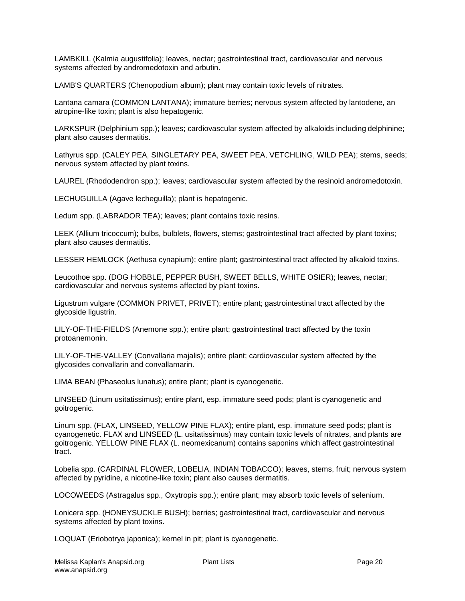LAMBKILL (Kalmia augustifolia); leaves, nectar; gastrointestinal tract, cardiovascular and nervous systems affected by andromedotoxin and arbutin.

LAMB'S QUARTERS (Chenopodium album); plant may contain toxic levels of nitrates.

Lantana camara (COMMON LANTANA); immature berries; nervous system affected by lantodene, an atropine-like toxin; plant is also hepatogenic.

LARKSPUR (Delphinium spp.); leaves; cardiovascular system affected by alkaloids including delphinine; plant also causes dermatitis.

Lathyrus spp. (CALEY PEA, SINGLETARY PEA, SWEET PEA, VETCHLING, WILD PEA); stems, seeds; nervous system affected by plant toxins.

LAUREL (Rhododendron spp.); leaves; cardiovascular system affected by the resinoid andromedotoxin.

LECHUGUILLA (Agave lecheguilla); plant is hepatogenic.

Ledum spp. (LABRADOR TEA); leaves; plant contains toxic resins.

LEEK (Allium tricoccum); bulbs, bulblets, flowers, stems; gastrointestinal tract affected by plant toxins; plant also causes dermatitis.

LESSER HEMLOCK (Aethusa cynapium); entire plant; gastrointestinal tract affected by alkaloid toxins.

Leucothoe spp. (DOG HOBBLE, PEPPER BUSH, SWEET BELLS, WHITE OSIER); leaves, nectar; cardiovascular and nervous systems affected by plant toxins.

Ligustrum vulgare (COMMON PRIVET, PRIVET); entire plant; gastrointestinal tract affected by the glycoside ligustrin.

LILY-OF-THE-FIELDS (Anemone spp.); entire plant; gastrointestinal tract affected by the toxin protoanemonin.

LILY-OF-THE-VALLEY (Convallaria majalis); entire plant; cardiovascular system affected by the glycosides convallarin and convallamarin.

LIMA BEAN (Phaseolus lunatus); entire plant; plant is cyanogenetic.

LINSEED (Linum usitatissimus); entire plant, esp. immature seed pods; plant is cyanogenetic and goitrogenic.

Linum spp. (FLAX, LINSEED, YELLOW PINE FLAX); entire plant, esp. immature seed pods; plant is cyanogenetic. FLAX and LINSEED (L. usitatissimus) may contain toxic levels of nitrates, and plants are goitrogenic. YELLOW PINE FLAX (L. neomexicanum) contains saponins which affect gastrointestinal tract.

Lobelia spp. (CARDINAL FLOWER, LOBELIA, INDIAN TOBACCO); leaves, stems, fruit; nervous system affected by pyridine, a nicotine-like toxin; plant also causes dermatitis.

LOCOWEEDS (Astragalus spp., Oxytropis spp.); entire plant; may absorb toxic levels of selenium.

Lonicera spp. (HONEYSUCKLE BUSH); berries; gastrointestinal tract, cardiovascular and nervous systems affected by plant toxins.

LOQUAT (Eriobotrya japonica); kernel in pit; plant is cyanogenetic.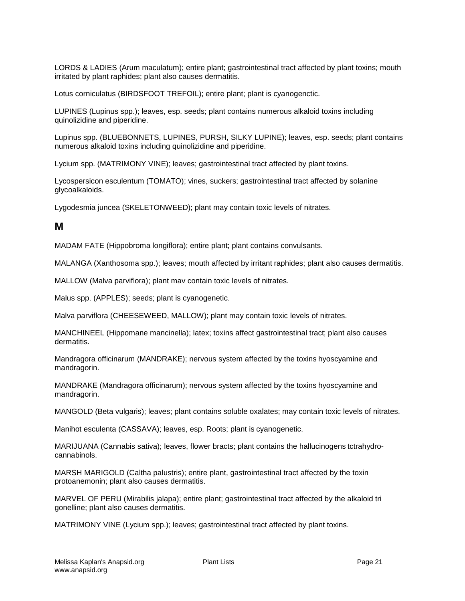LORDS & LADIES (Arum maculatum); entire plant; gastrointestinal tract affected by plant toxins; mouth irritated by plant raphides; plant also causes dermatitis.

Lotus corniculatus (BIRDSFOOT TREFOIL); entire plant; plant is cyanogenctic.

LUPINES (Lupinus spp.); leaves, esp. seeds; plant contains numerous alkaloid toxins including quinolizidine and piperidine.

Lupinus spp. (BLUEBONNETS, LUPINES, PURSH, SILKY LUPINE); leaves, esp. seeds; plant contains numerous alkaloid toxins including quinolizidine and piperidine.

Lycium spp. (MATRIMONY VINE); leaves; gastrointestinal tract affected by plant toxins.

Lycospersicon esculentum (TOMATO); vines, suckers; gastrointestinal tract affected by solanine glycoalkaloids.

Lygodesmia juncea (SKELETONWEED); plant may contain toxic levels of nitrates.

### **M**

MADAM FATE (Hippobroma longiflora); entire plant; plant contains convulsants.

MALANGA (Xanthosoma spp.); leaves; mouth affected by irritant raphides; plant also causes dermatitis.

MALLOW (Malva parviflora); plant mav contain toxic levels of nitrates.

Malus spp. (APPLES); seeds; plant is cyanogenetic.

Malva parviflora (CHEESEWEED, MALLOW); plant may contain toxic levels of nitrates.

MANCHINEEL (Hippomane mancinella); latex; toxins affect gastrointestinal tract; plant also causes dermatitis.

Mandragora officinarum (MANDRAKE); nervous system affected by the toxins hyoscyamine and mandragorin.

MANDRAKE (Mandragora officinarum); nervous system affected by the toxins hyoscyamine and mandragorin.

MANGOLD (Beta vulgaris); leaves; plant contains soluble oxalates; may contain toxic levels of nitrates.

Manihot esculenta (CASSAVA); leaves, esp. Roots; plant is cyanogenetic.

MARIJUANA (Cannabis sativa); leaves, flower bracts; plant contains the hallucinogens tctrahydrocannabinols.

MARSH MARIGOLD (Caltha palustris); entire plant, gastrointestinal tract affected by the toxin protoanemonin; plant also causes dermatitis.

MARVEL OF PERU (Mirabilis jalapa); entire plant; gastrointestinal tract affected by the alkaloid tri gonelline; plant also causes dermatitis.

MATRIMONY VINE (Lycium spp.); leaves; gastrointestinal tract affected by plant toxins.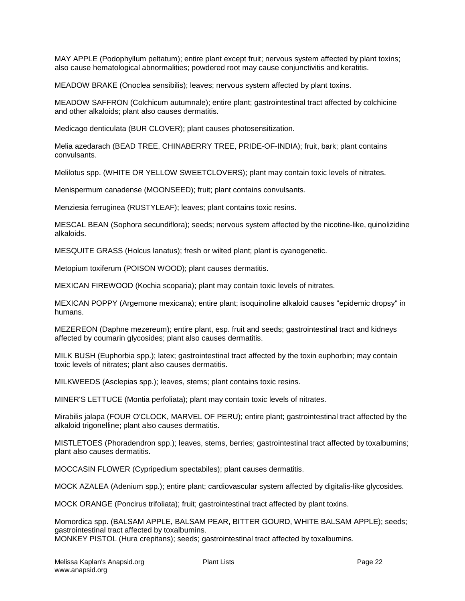MAY APPLE (Podophyllum peltatum); entire plant except fruit; nervous system affected by plant toxins; also cause hematological abnormalities; powdered root may cause conjunctivitis and keratitis.

MEADOW BRAKE (Onoclea sensibilis); leaves; nervous system affected by plant toxins.

MEADOW SAFFRON (Colchicum autumnale); entire plant; gastrointestinal tract affected by colchicine and other alkaloids; plant also causes dermatitis.

Medicago denticulata (BUR CLOVER); plant causes photosensitization.

Melia azedarach (BEAD TREE, CHINABERRY TREE, PRIDE-OF-INDIA); fruit, bark; plant contains convulsants.

Melilotus spp. (WHITE OR YELLOW SWEETCLOVERS); plant may contain toxic levels of nitrates.

Menispermum canadense (MOONSEED); fruit; plant contains convulsants.

Menziesia ferruginea (RUSTYLEAF); leaves; plant contains toxic resins.

MESCAL BEAN (Sophora secundiflora); seeds; nervous system affected by the nicotine-like, quinolizidine alkaloids.

MESQUITE GRASS (Holcus lanatus); fresh or wilted plant; plant is cyanogenetic.

Metopium toxiferum (POISON WOOD); plant causes dermatitis.

MEXICAN FIREWOOD (Kochia scoparia); plant may contain toxic levels of nitrates.

MEXICAN POPPY (Argemone mexicana); entire plant; isoquinoline alkaloid causes "epidemic dropsy" in humans.

MEZEREON (Daphne mezereum); entire plant, esp. fruit and seeds; gastrointestinal tract and kidneys affected by coumarin glycosides; plant also causes dermatitis.

MILK BUSH (Euphorbia spp.); latex; gastrointestinal tract affected by the toxin euphorbin; may contain toxic levels of nitrates; plant also causes dermatitis.

MILKWEEDS (Asclepias spp.); leaves, stems; plant contains toxic resins.

MINER'S LETTUCE (Montia perfoliata); plant may contain toxic levels of nitrates.

Mirabilis jalapa (FOUR O'CLOCK, MARVEL OF PERU); entire plant; gastrointestinal tract affected by the alkaloid trigonelline; plant also causes dermatitis.

MISTLETOES (Phoradendron spp.); leaves, stems, berries; gastrointestinal tract affected by toxalbumins; plant also causes dermatitis.

MOCCASIN FLOWER (Cypripedium spectabiles); plant causes dermatitis.

MOCK AZALEA (Adenium spp.); entire plant; cardiovascular system affected by digitalis-like glycosides.

MOCK ORANGE (Poncirus trifoliata); fruit; gastrointestinal tract affected by plant toxins.

Momordica spp. (BALSAM APPLE, BALSAM PEAR, BITTER GOURD, WHITE BALSAM APPLE); seeds; gastrointestinal tract affected by toxalbumins.

MONKEY PISTOL (Hura crepitans); seeds; gastrointestinal tract affected by toxalbumins.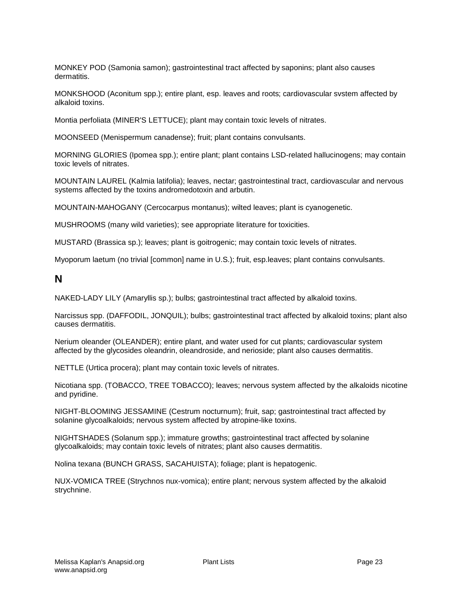MONKEY POD (Samonia samon); gastrointestinal tract affected by saponins; plant also causes dermatitis.

MONKSHOOD (Aconitum spp.); entire plant, esp. leaves and roots; cardiovascular svstem affected by alkaloid toxins.

Montia perfoliata (MINER'S LETTUCE); plant may contain toxic levels of nitrates.

MOONSEED (Menispermum canadense); fruit; plant contains convulsants.

MORNING GLORIES (Ipomea spp.); entire plant; plant contains LSD-related hallucinogens; may contain toxic levels of nitrates.

MOUNTAIN LAUREL (Kalmia latifolia); leaves, nectar; gastrointestinal tract, cardiovascular and nervous systems affected by the toxins andromedotoxin and arbutin.

MOUNTAIN-MAHOGANY (Cercocarpus montanus); wilted leaves; plant is cyanogenetic.

MUSHROOMS (many wild varieties); see appropriate literature for toxicities.

MUSTARD (Brassica sp.); leaves; plant is goitrogenic; may contain toxic levels of nitrates.

Myoporum laetum (no trivial [common] name in U.S.); fruit, esp.leaves; plant contains convulsants.

### **N**

NAKED-LADY LILY (Amaryllis sp.); bulbs; gastrointestinal tract affected by alkaloid toxins.

Narcissus spp. (DAFFODIL, JONQUIL); bulbs; gastrointestinal tract affected by alkaloid toxins; plant also causes dermatitis.

Nerium oleander (OLEANDER); entire plant, and water used for cut plants; cardiovascular system affected by the glycosides oleandrin, oleandroside, and nerioside; plant also causes dermatitis.

NETTLE (Urtica procera); plant may contain toxic levels of nitrates.

Nicotiana spp. (TOBACCO, TREE TOBACCO); leaves; nervous system affected by the alkaloids nicotine and pyridine.

NIGHT-BLOOMING JESSAMINE (Cestrum nocturnum); fruit, sap; gastrointestinal tract affected by solanine glycoalkaloids; nervous system affected by atropine-like toxins.

NIGHTSHADES (Solanum spp.); immature growths; gastrointestinal tract affected by solanine glycoalkaloids; may contain toxic levels of nitrates; plant also causes dermatitis.

Nolina texana (BUNCH GRASS, SACAHUISTA); foliage; plant is hepatogenic.

NUX-VOMICA TREE (Strychnos nux-vomica); entire plant; nervous system affected by the alkaloid strychnine.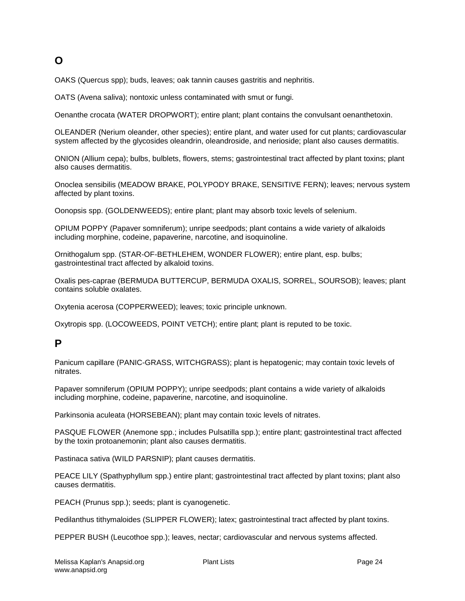# **O**

OAKS (Quercus spp); buds, leaves; oak tannin causes gastritis and nephritis.

OATS (Avena saliva); nontoxic unless contaminated with smut or fungi.

Oenanthe crocata (WATER DROPWORT); entire plant; plant contains the convulsant oenanthetoxin.

OLEANDER (Nerium oleander, other species); entire plant, and water used for cut plants; cardiovascular system affected by the glycosides oleandrin, oleandroside, and nerioside; plant also causes dermatitis.

ONION (Allium cepa); bulbs, bulblets, flowers, stems; gastrointestinal tract affected by plant toxins; plant also causes dermatitis.

Onoclea sensibilis (MEADOW BRAKE, POLYPODY BRAKE, SENSITIVE FERN); leaves; nervous system affected by plant toxins.

Oonopsis spp. (GOLDENWEEDS); entire plant; plant may absorb toxic levels of selenium.

OPIUM POPPY (Papaver somniferum); unripe seedpods; plant contains a wide variety of alkaloids including morphine, codeine, papaverine, narcotine, and isoquinoline.

Ornithogalum spp. (STAR-OF-BETHLEHEM, WONDER FLOWER); entire plant, esp. bulbs; gastrointestinal tract affected by alkaloid toxins.

Oxalis pes-caprae (BERMUDA BUTTERCUP, BERMUDA OXALIS, SORREL, SOURSOB); leaves; plant contains soluble oxalates.

Oxytenia acerosa (COPPERWEED); leaves; toxic principle unknown.

Oxytropis spp. (LOCOWEEDS, POINT VETCH); entire plant; plant is reputed to be toxic.

### **P**

Panicum capillare (PANIC-GRASS, WITCHGRASS); plant is hepatogenic; may contain toxic levels of nitrates.

Papaver somniferum (OPIUM POPPY); unripe seedpods; plant contains a wide variety of alkaloids including morphine, codeine, papaverine, narcotine, and isoquinoline.

Parkinsonia aculeata (HORSEBEAN); plant may contain toxic levels of nitrates.

PASQUE FLOWER (Anemone spp.; includes Pulsatilla spp.); entire plant; gastrointestinal tract affected by the toxin protoanemonin; plant also causes dermatitis.

Pastinaca sativa (WILD PARSNIP); plant causes dermatitis.

PEACE LILY (Spathyphyllum spp.) entire plant; gastrointestinal tract affected by plant toxins; plant also causes dermatitis.

PEACH (Prunus spp.); seeds; plant is cyanogenetic.

Pedilanthus tithymaloides (SLIPPER FLOWER); latex; gastrointestinal tract affected by plant toxins.

PEPPER BUSH (Leucothoe spp.); leaves, nectar; cardiovascular and nervous systems affected.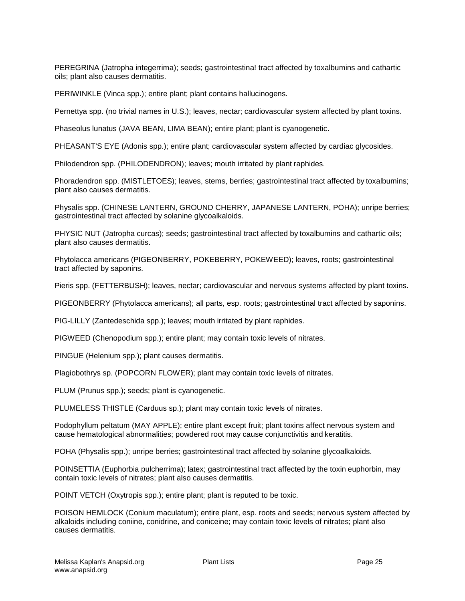PEREGRINA (Jatropha integerrima); seeds; gastrointestina! tract affected by toxalbumins and cathartic oils; plant also causes dermatitis.

PERIWINKLE (Vinca spp.); entire plant; plant contains hallucinogens.

Pernettya spp. (no trivial names in U.S.); leaves, nectar; cardiovascular system affected by plant toxins.

Phaseolus lunatus (JAVA BEAN, LIMA BEAN); entire plant; plant is cyanogenetic.

PHEASANT'S EYE (Adonis spp.); entire plant; cardiovascular system affected by cardiac glycosides.

Philodendron spp. (PHILODENDRON); leaves; mouth irritated by plant raphides.

Phoradendron spp. (MISTLETOES); leaves, stems, berries; gastrointestinal tract affected by toxalbumins; plant also causes dermatitis.

Physalis spp. (CHINESE LANTERN, GROUND CHERRY, JAPANESE LANTERN, POHA); unripe berries; gastrointestinal tract affected by solanine glycoalkaloids.

PHYSIC NUT (Jatropha curcas); seeds; gastrointestinal tract affected by toxalbumins and cathartic oils; plant also causes dermatitis.

Phytolacca americans (PIGEONBERRY, POKEBERRY, POKEWEED); leaves, roots; gastrointestinal tract affected by saponins.

Pieris spp. (FETTERBUSH); leaves, nectar; cardiovascular and nervous systems affected by plant toxins.

PIGEONBERRY (Phytolacca americans); all parts, esp. roots; gastrointestinal tract affected by saponins.

PIG-LILLY (Zantedeschida spp.); leaves; mouth irritated by plant raphides.

PIGWEED (Chenopodium spp.); entire plant; may contain toxic levels of nitrates.

PINGUE (Helenium spp.); plant causes dermatitis.

Plagiobothrys sp. (POPCORN FLOWER); plant may contain toxic levels of nitrates.

PLUM (Prunus spp.); seeds; plant is cyanogenetic.

PLUMELESS THISTLE (Carduus sp.); plant may contain toxic levels of nitrates.

Podophyllum peltatum (MAY APPLE); entire plant except fruit; plant toxins affect nervous system and cause hematological abnormalities; powdered root may cause conjunctivitis and keratitis.

POHA (Physalis spp.); unripe berries; gastrointestinal tract affected by solanine glycoalkaloids.

POINSETTIA (Euphorbia pulcherrima); latex; gastrointestinal tract affected by the toxin euphorbin, may contain toxic levels of nitrates; plant also causes dermatitis.

POINT VETCH (Oxytropis spp.); entire plant; plant is reputed to be toxic.

POISON HEMLOCK (Conium maculatum); entire plant, esp. roots and seeds; nervous system affected by alkaloids including coniine, conidrine, and coniceine; may contain toxic levels of nitrates; plant also causes dermatitis.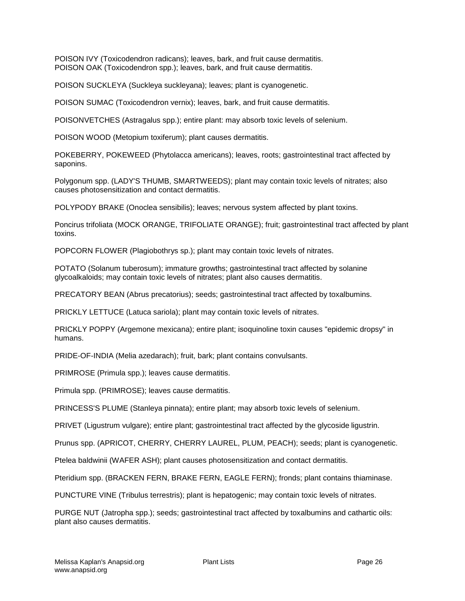POISON IVY (Toxicodendron radicans); leaves, bark, and fruit cause dermatitis. POISON OAK (Toxicodendron spp.); leaves, bark, and fruit cause dermatitis.

POISON SUCKLEYA (Suckleya suckleyana); leaves; plant is cyanogenetic.

POISON SUMAC (Toxicodendron vernix); leaves, bark, and fruit cause dermatitis.

POISONVETCHES (Astragalus spp.); entire plant: may absorb toxic levels of selenium.

POISON WOOD (Metopium toxiferum); plant causes dermatitis.

POKEBERRY, POKEWEED (Phytolacca americans); leaves, roots; gastrointestinal tract affected by saponins.

Polygonum spp. (LADY'S THUMB, SMARTWEEDS); plant may contain toxic levels of nitrates; also causes photosensitization and contact dermatitis.

POLYPODY BRAKE (Onoclea sensibilis); leaves; nervous system affected by plant toxins.

Poncirus trifoliata (MOCK ORANGE, TRIFOLIATE ORANGE); fruit; gastrointestinal tract affected by plant toxins.

POPCORN FLOWER (Plagiobothrys sp.); plant may contain toxic levels of nitrates.

POTATO (Solanum tuberosum); immature growths; gastrointestinal tract affected by solanine glycoalkaloids; may contain toxic levels of nitrates; plant also causes dermatitis.

PRECATORY BEAN (Abrus precatorius); seeds; gastrointestinal tract affected by toxalbumins.

PRICKLY LETTUCE (Latuca sariola); plant may contain toxic levels of nitrates.

PRICKLY POPPY (Argemone mexicana); entire plant; isoquinoline toxin causes "epidemic dropsy" in humans.

PRIDE-OF-INDIA (Melia azedarach); fruit, bark; plant contains convulsants.

PRIMROSE (Primula spp.); leaves cause dermatitis.

Primula spp. (PRIMROSE); leaves cause dermatitis.

PRINCESS'S PLUME (Stanleya pinnata); entire plant; may absorb toxic levels of selenium.

PRIVET (Ligustrum vulgare); entire plant; gastrointestinal tract affected by the glycoside ligustrin.

Prunus spp. (APRICOT, CHERRY, CHERRY LAUREL, PLUM, PEACH); seeds; plant is cyanogenetic.

Ptelea baldwinii (WAFER ASH); plant causes photosensitization and contact dermatitis.

Pteridium spp. (BRACKEN FERN, BRAKE FERN, EAGLE FERN); fronds; plant contains thiaminase.

PUNCTURE VINE (Tribulus terrestris); plant is hepatogenic; may contain toxic levels of nitrates.

PURGE NUT (Jatropha spp.); seeds; gastrointestinal tract affected by toxalbumins and cathartic oils: plant also causes dermatitis.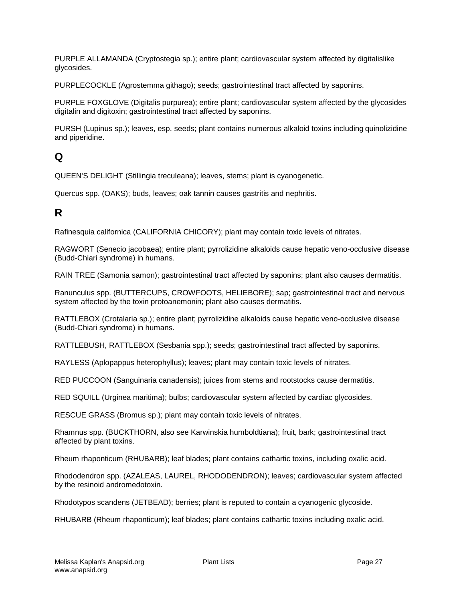PURPLE ALLAMANDA (Cryptostegia sp.); entire plant; cardiovascular system affected by digitalislike glycosides.

PURPLECOCKLE (Agrostemma githago); seeds; gastrointestinal tract affected by saponins.

PURPLE FOXGLOVE (Digitalis purpurea); entire plant; cardiovascular system affected by the glycosides digitalin and digitoxin; gastrointestinal tract affected by saponins.

PURSH (Lupinus sp.); leaves, esp. seeds; plant contains numerous alkaloid toxins including quinolizidine and piperidine.

## **Q**

QUEEN'S DELIGHT (Stillingia treculeana); leaves, stems; plant is cyanogenetic.

Quercus spp. (OAKS); buds, leaves; oak tannin causes gastritis and nephritis.

## **R**

Rafinesquia californica (CALIFORNIA CHICORY); plant may contain toxic levels of nitrates.

RAGWORT (Senecio jacobaea); entire plant; pyrrolizidine alkaloids cause hepatic veno-occlusive disease (Budd-Chiari syndrome) in humans.

RAIN TREE (Samonia samon); gastrointestinal tract affected by saponins; plant also causes dermatitis.

Ranunculus spp. (BUTTERCUPS, CROWFOOTS, HELIEBORE); sap; gastrointestinal tract and nervous system affected by the toxin protoanemonin; plant also causes dermatitis.

RATTLEBOX (Crotalaria sp.); entire plant; pyrrolizidine alkaloids cause hepatic veno-occlusive disease (Budd-Chiari syndrome) in humans.

RATTLEBUSH, RATTLEBOX (Sesbania spp.); seeds; gastrointestinal tract affected by saponins.

RAYLESS (Aplopappus heterophyllus); leaves; plant may contain toxic levels of nitrates.

RED PUCCOON (Sanguinaria canadensis); juices from stems and rootstocks cause dermatitis.

RED SQUILL (Urginea maritima); bulbs; cardiovascular system affected by cardiac glycosides.

RESCUE GRASS (Bromus sp.); plant may contain toxic levels of nitrates.

Rhamnus spp. (BUCKTHORN, also see Karwinskia humboldtiana); fruit, bark; gastrointestinal tract affected by plant toxins.

Rheum rhaponticum (RHUBARB); leaf blades; plant contains cathartic toxins, including oxalic acid.

Rhododendron spp. (AZALEAS, LAUREL, RHODODENDRON); leaves; cardiovascular system affected by the resinoid andromedotoxin.

Rhodotypos scandens (JETBEAD); berries; plant is reputed to contain a cyanogenic glycoside.

RHUBARB (Rheum rhaponticum); leaf blades; plant contains cathartic toxins including oxalic acid.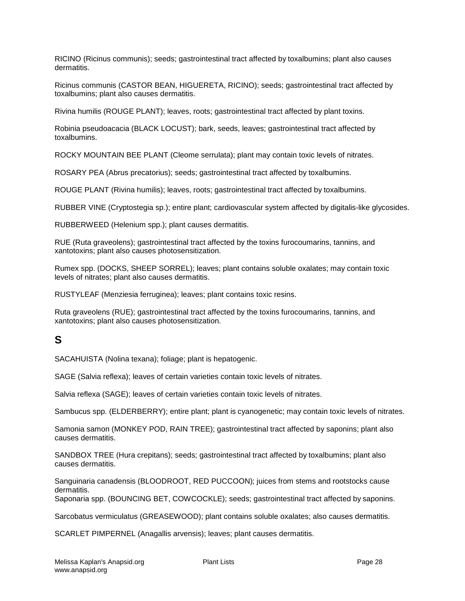RICINO (Ricinus communis); seeds; gastrointestinal tract affected by toxalbumins; plant also causes dermatitis.

Ricinus communis (CASTOR BEAN, HIGUERETA, RICINO); seeds; gastrointestinal tract affected by toxalbumins; plant also causes dermatitis.

Rivina humilis (ROUGE PLANT); leaves, roots; gastrointestinal tract affected by plant toxins.

Robinia pseudoacacia (BLACK LOCUST); bark, seeds, leaves; gastrointestinal tract affected by toxalbumins.

ROCKY MOUNTAIN BEE PLANT (Cleome serrulata); plant may contain toxic levels of nitrates.

ROSARY PEA (Abrus precatorius); seeds; gastrointestinal tract affected by toxalbumins.

ROUGE PLANT (Rivina humilis); leaves, roots; gastrointestinal tract affected by toxalbumins.

RUBBER VINE (Cryptostegia sp.); entire plant; cardiovascular system affected by digitalis-like glycosides.

RUBBERWEED (Helenium spp.); plant causes dermatitis.

RUE (Ruta graveolens); gastrointestinal tract affected by the toxins furocoumarins, tannins, and xantotoxins; plant also causes photosensitization.

Rumex spp. (DOCKS, SHEEP SORREL); leaves; plant contains soluble oxalates; may contain toxic levels of nitrates; plant also causes dermatitis.

RUSTYLEAF (Menziesia ferruginea); leaves; plant contains toxic resins.

Ruta graveolens (RUE); gastrointestinal tract affected by the toxins furocoumarins, tannins, and xantotoxins; plant also causes photosensitization.

# **S**

SACAHUISTA (Nolina texana); foliage; plant is hepatogenic.

SAGE (Salvia reflexa); leaves of certain varieties contain toxic levels of nitrates.

Salvia reflexa (SAGE); leaves of certain varieties contain toxic levels of nitrates.

Sambucus spp. (ELDERBERRY); entire plant; plant is cyanogenetic; may contain toxic levels of nitrates.

Samonia samon (MONKEY POD, RAIN TREE); gastrointestinal tract affected by saponins; plant also causes dermatitis.

SANDBOX TREE (Hura crepitans); seeds; gastrointestinal tract affected by toxalbumins; plant also causes dermatitis.

Sanguinaria canadensis (BLOODROOT, RED PUCCOON); juices from stems and rootstocks cause dermatitis.

Saponaria spp. (BOUNCING BET, COWCOCKLE); seeds; gastrointestinal tract affected by saponins.

Sarcobatus vermiculatus (GREASEWOOD); plant contains soluble oxalates; also causes dermatitis.

SCARLET PIMPERNEL (Anagallis arvensis); leaves; plant causes dermatitis.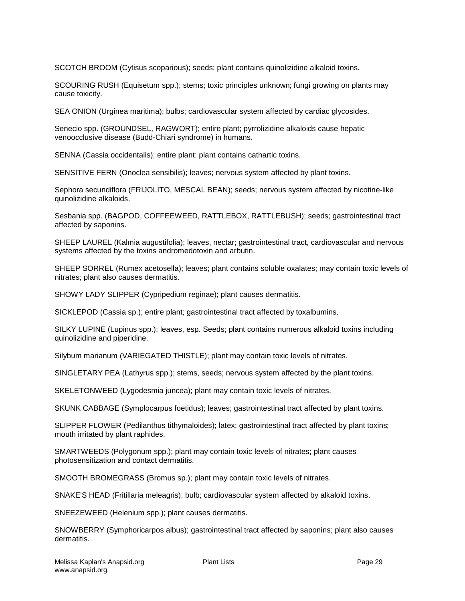SCOTCH BROOM (Cytisus scoparious); seeds; plant contains quinolizidine alkaloid toxins.

SCOURING RUSH (Equisetum spp.); stems; toxic principles unknown; fungi growing on plants may cause toxicity.

SEA ONION (Urginea maritima); bulbs; cardiovascular system affected by cardiac glycosides.

Senecio spp. (GROUNDSEL, RAGWORT); entire plant; pyrrolizidine alkaloids cause hepatic venoocclusive disease (Budd-Chiari syndrome) in humans.

SENNA (Cassia occidentalis); entire plant: plant contains cathartic toxins.

SENSITIVE FERN (Onoclea sensibilis); leaves; nervous system affected by plant toxins.

Sephora secundiflora (FRIJOLITO, MESCAL BEAN); seeds; nervous system affected by nicotine-like quinolizidine alkaloids.

Sesbania spp. (BAGPOD, COFFEEWEED, RATTLEBOX, RATTLEBUSH); seeds; gastrointestinal tract affected by saponins.

SHEEP LAUREL (Kalmia augustifolia); leaves, nectar; gastrointestinal tract, cardiovascular and nervous systems affected by the toxins andromedotoxin and arbutin.

SHEEP SORREL (Rumex acetosella); leaves; plant contains soluble oxalates; may contain toxic levels of nitrates; plant also causes dermatitis.

SHOWY LADY SLIPPER (Cypripedium reginae); plant causes dermatitis.

SICKLEPOD (Cassia sp.); entire plant; gastrointestinal tract affected by toxalbumins.

SILKY LUPINE (Lupinus spp.); leaves, esp. Seeds; plant contains numerous alkaloid toxins including quinolizidine and piperidine.

Silybum marianum (VARIEGATED THISTLE); plant may contain toxic levels of nitrates.

SINGLETARY PEA (Lathyrus spp.); stems, seeds; nervous system affected by the plant toxins.

SKELETONWEED (Lygodesmia juncea); plant may contain toxic levels of nitrates.

SKUNK CABBAGE (Symplocarpus foetidus); leaves; gastrointestinal tract affected by plant toxins.

SLIPPER FLOWER (Pedilanthus tithymaloides); latex; gastrointestinal tract affected by plant toxins; mouth irritated by plant raphides.

SMARTWEEDS (Polygonum spp.); plant may contain toxic levels of nitrates; plant causes photosensitization and contact dermatitis.

SMOOTH BROMEGRASS (Bromus sp.); plant may contain toxic levels of nitrates.

SNAKE'S HEAD (Fritillaria meleagris); bulb; cardiovascular system affected by alkaloid toxins.

SNEEZEWEED (Helenium spp.); plant causes dermatitis.

SNOWBERRY (Symphoricarpos albus); gastrointestinal tract affected by saponins; plant also causes dermatitis.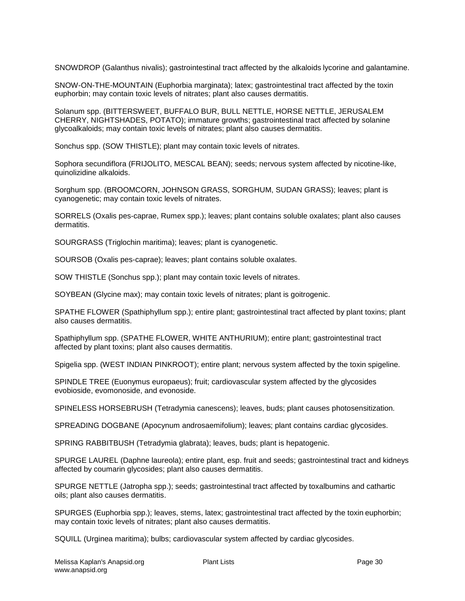SNOWDROP (Galanthus nivalis); gastrointestinal tract affected by the alkaloids lycorine and galantamine.

SNOW-ON-THE-MOUNTAIN (Euphorbia marginata); latex; gastrointestinal tract affected by the toxin euphorbin; may contain toxic levels of nitrates; plant also causes dermatitis.

Solanum spp. (BITTERSWEET, BUFFALO BUR, BULL NETTLE, HORSE NETTLE, JERUSALEM CHERRY, NIGHTSHADES, POTATO); immature growths; gastrointestinal tract affected by solanine glycoalkaloids; may contain toxic levels of nitrates; plant also causes dermatitis.

Sonchus spp. (SOW THISTLE); plant may contain toxic levels of nitrates.

Sophora secundiflora (FRIJOLITO, MESCAL BEAN); seeds; nervous system affected by nicotine-like, quinolizidine alkaloids.

Sorghum spp. (BROOMCORN, JOHNSON GRASS, SORGHUM, SUDAN GRASS); leaves; plant is cyanogenetic; may contain toxic levels of nitrates.

SORRELS (Oxalis pes-caprae, Rumex spp.); leaves; plant contains soluble oxalates; plant also causes dermatitis.

SOURGRASS (Triglochin maritima); leaves; plant is cyanogenetic.

SOURSOB (Oxalis pes-caprae); leaves; plant contains soluble oxalates.

SOW THISTLE (Sonchus spp.); plant may contain toxic levels of nitrates.

SOYBEAN (Glycine max); may contain toxic levels of nitrates; plant is goitrogenic.

SPATHE FLOWER (Spathiphyllum spp.); entire plant; gastrointestinal tract affected by plant toxins; plant also causes dermatitis.

Spathiphyllum spp. (SPATHE FLOWER, WHITE ANTHURIUM); entire plant; gastrointestinal tract affected by plant toxins; plant also causes dermatitis.

Spigelia spp. (WEST INDIAN PINKROOT); entire plant; nervous system affected by the toxin spigeline.

SPINDLE TREE (Euonymus europaeus); fruit; cardiovascular system affected by the glycosides evobioside, evomonoside, and evonoside.

SPINELESS HORSEBRUSH (Tetradymia canescens); leaves, buds; plant causes photosensitization.

SPREADING DOGBANE (Apocynum androsaemifolium); leaves; plant contains cardiac glycosides.

SPRING RABBITBUSH (Tetradymia glabrata); leaves, buds; plant is hepatogenic.

SPURGE LAUREL (Daphne laureola); entire plant, esp. fruit and seeds; gastrointestinal tract and kidneys affected by coumarin glycosides; plant also causes dermatitis.

SPURGE NETTLE (Jatropha spp.); seeds; gastrointestinal tract affected by toxalbumins and cathartic oils; plant also causes dermatitis.

SPURGES (Euphorbia spp.); leaves, stems, latex; gastrointestinal tract affected by the toxin euphorbin; may contain toxic levels of nitrates; plant also causes dermatitis.

SQUILL (Urginea maritima); bulbs; cardiovascular system affected by cardiac glycosides.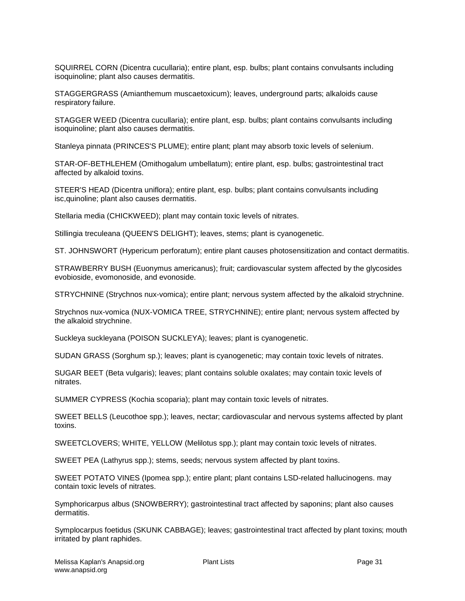SQUIRREL CORN (Dicentra cucullaria); entire plant, esp. bulbs; plant contains convulsants including isoquinoline; plant also causes dermatitis.

STAGGERGRASS (Amianthemum muscaetoxicum); leaves, underground parts; alkaloids cause respiratory failure.

STAGGER WEED (Dicentra cucullaria); entire plant, esp. bulbs; plant contains convulsants including isoquinoline; plant also causes dermatitis.

Stanleya pinnata (PRINCES'S PLUME); entire plant; plant may absorb toxic levels of selenium.

STAR-OF-BETHLEHEM (Omithogalum umbellatum); entire plant, esp. bulbs; gastrointestinal tract affected by alkaloid toxins.

STEER'S HEAD (Dicentra uniflora); entire plant, esp. bulbs; plant contains convulsants including isc,quinoline; plant also causes dermatitis.

Stellaria media (CHICKWEED); plant may contain toxic levels of nitrates.

Stillingia treculeana (QUEEN'S DELIGHT); leaves, stems; plant is cyanogenetic.

ST. JOHNSWORT (Hypericum perforatum); entire plant causes photosensitization and contact dermatitis.

STRAWBERRY BUSH (Euonymus americanus); fruit; cardiovascular system affected by the glycosides evobioside, evomonoside, and evonoside.

STRYCHNINE (Strychnos nux-vomica); entire plant; nervous system affected by the alkaloid strychnine.

Strychnos nux-vomica (NUX-VOMICA TREE, STRYCHNINE); entire plant; nervous system affected by the alkaloid strychnine.

Suckleya suckleyana (POISON SUCKLEYA); leaves; plant is cyanogenetic.

SUDAN GRASS (Sorghum sp.); leaves; plant is cyanogenetic; may contain toxic levels of nitrates.

SUGAR BEET (Beta vulgaris); leaves; plant contains soluble oxalates; may contain toxic levels of nitrates.

SUMMER CYPRESS (Kochia scoparia); plant may contain toxic levels of nitrates.

SWEET BELLS (Leucothoe spp.); leaves, nectar; cardiovascular and nervous systems affected by plant toxins.

SWEETCLOVERS; WHITE, YELLOW (Melilotus spp.); plant may contain toxic levels of nitrates.

SWEET PEA (Lathyrus spp.); stems, seeds; nervous system affected by plant toxins.

SWEET POTATO VINES (Ipomea spp.); entire plant; plant contains LSD-related hallucinogens. may contain toxic levels of nitrates.

Symphoricarpus albus (SNOWBERRY); gastrointestinal tract affected by saponins; plant also causes dermatitis.

Symplocarpus foetidus (SKUNK CABBAGE); leaves; gastrointestinal tract affected by plant toxins; mouth irritated by plant raphides.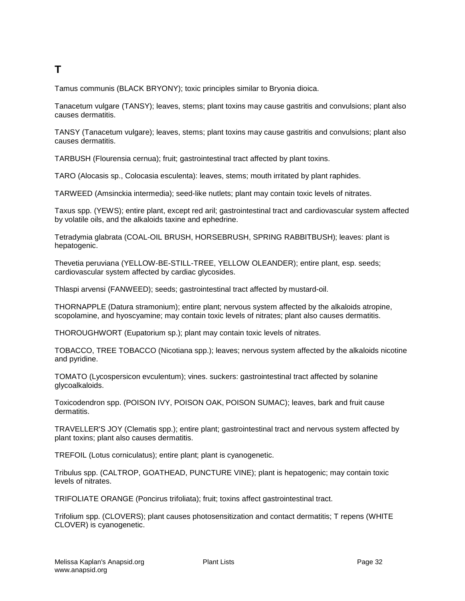# **T**

Tamus communis (BLACK BRYONY); toxic principles similar to Bryonia dioica.

Tanacetum vulgare (TANSY); leaves, stems; plant toxins may cause gastritis and convulsions; plant also causes dermatitis.

TANSY (Tanacetum vulgare); leaves, stems; plant toxins may cause gastritis and convulsions; plant also causes dermatitis.

TARBUSH (Flourensia cernua); fruit; gastrointestinal tract affected by plant toxins.

TARO (Alocasis sp., Colocasia esculenta): leaves, stems; mouth irritated by plant raphides.

TARWEED (Amsinckia intermedia); seed-like nutlets; plant may contain toxic levels of nitrates.

Taxus spp. (YEWS); entire plant, except red aril; gastrointestinal tract and cardiovascular system affected by volatile oils, and the alkaloids taxine and ephedrine.

Tetradymia glabrata (COAL-OIL BRUSH, HORSEBRUSH, SPRING RABBITBUSH); leaves: plant is hepatogenic.

Thevetia peruviana (YELLOW-BE-STILL-TREE, YELLOW OLEANDER); entire plant, esp. seeds; cardiovascular system affected by cardiac glycosides.

Thlaspi arvensi (FANWEED); seeds; gastrointestinal tract affected by mustard-oil.

THORNAPPLE (Datura stramonium); entire plant; nervous system affected by the alkaloids atropine, scopolamine, and hyoscyamine; may contain toxic levels of nitrates; plant also causes dermatitis.

THOROUGHWORT (Eupatorium sp.); plant may contain toxic levels of nitrates.

TOBACCO, TREE TOBACCO (Nicotiana spp.); leaves; nervous system affected by the alkaloids nicotine and pyridine.

TOMATO (Lycospersicon evculentum); vines. suckers: gastrointestinal tract affected by solanine glycoalkaloids.

Toxicodendron spp. (POISON IVY, POISON OAK, POISON SUMAC); leaves, bark and fruit cause dermatitis.

TRAVELLER'S JOY (Clematis spp.); entire plant; gastrointestinal tract and nervous system affected by plant toxins; plant also causes dermatitis.

TREFOIL (Lotus corniculatus); entire plant; plant is cyanogenetic.

Tribulus spp. (CALTROP, GOATHEAD, PUNCTURE VINE); plant is hepatogenic; may contain toxic levels of nitrates.

TRIFOLIATE ORANGE (Poncirus trifoliata); fruit; toxins affect gastrointestinal tract.

Trifolium spp. (CLOVERS); plant causes photosensitization and contact dermatitis; T repens (WHITE CLOVER) is cyanogenetic.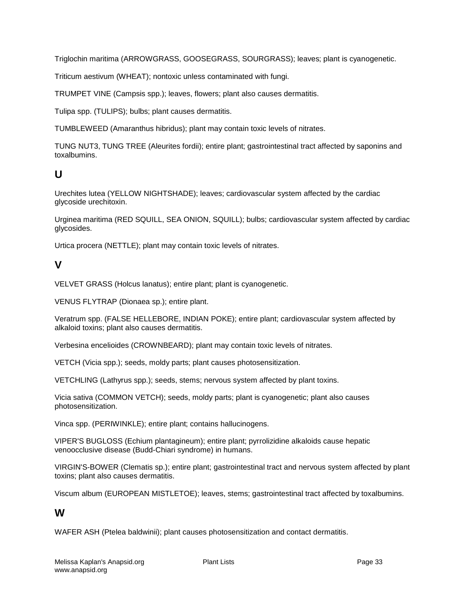Triglochin maritima (ARROWGRASS, GOOSEGRASS, SOURGRASS); leaves; plant is cyanogenetic.

Triticum aestivum (WHEAT); nontoxic unless contaminated with fungi.

TRUMPET VINE (Campsis spp.); leaves, flowers; plant also causes dermatitis.

Tulipa spp. (TULIPS); bulbs; plant causes dermatitis.

TUMBLEWEED (Amaranthus hibridus); plant may contain toxic levels of nitrates.

TUNG NUT3, TUNG TREE (Aleurites fordii); entire plant; gastrointestinal tract affected by saponins and toxalbumins.

### **U**

Urechites lutea (YELLOW NIGHTSHADE); leaves; cardiovascular system affected by the cardiac glycoside urechitoxin.

Urginea maritima (RED SQUILL, SEA ONION, SQUILL); bulbs; cardiovascular system affected by cardiac glycosides.

Urtica procera (NETTLE); plant may contain toxic levels of nitrates.

## **V**

VELVET GRASS (Holcus lanatus); entire plant; plant is cyanogenetic.

VENUS FLYTRAP (Dionaea sp.); entire plant.

Veratrum spp. (FALSE HELLEBORE, INDIAN POKE); entire plant; cardiovascular system affected by alkaloid toxins; plant also causes dermatitis.

Verbesina encelioides (CROWNBEARD); plant may contain toxic levels of nitrates.

VETCH (Vicia spp.); seeds, moldy parts; plant causes photosensitization.

VETCHLING (Lathyrus spp.); seeds, stems; nervous system affected by plant toxins.

Vicia sativa (COMMON VETCH); seeds, moldy parts; plant is cyanogenetic; plant also causes photosensitization.

Vinca spp. (PERIWINKLE); entire plant; contains hallucinogens.

VIPER'S BUGLOSS (Echium plantagineum); entire plant; pyrrolizidine alkaloids cause hepatic venoocclusive disease (Budd-Chiari syndrome) in humans.

VIRGIN'S-BOWER (Clematis sp.); entire plant; gastrointestinal tract and nervous system affected by plant toxins; plant also causes dermatitis.

Viscum album (EUROPEAN MISTLETOE); leaves, stems; gastrointestinal tract affected by toxalbumins.

### **W**

WAFER ASH (Ptelea baldwinii); plant causes photosensitization and contact dermatitis.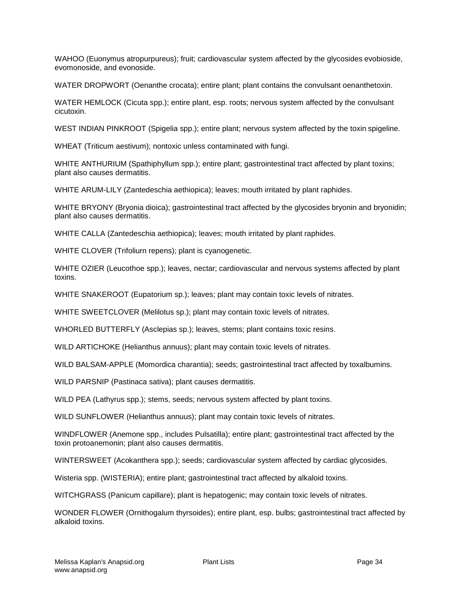WAHOO (Euonymus atropurpureus); fruit; cardiovascular system affected by the glycosides evobioside, evomonoside, and evonoside.

WATER DROPWORT (Oenanthe crocata); entire plant; plant contains the convulsant oenanthetoxin.

WATER HEMLOCK (Cicuta spp.); entire plant, esp. roots; nervous system affected by the convulsant cicutoxin.

WEST INDIAN PINKROOT (Spigelia spp.); entire plant; nervous system affected by the toxin spigeline.

WHEAT (Triticum aestivum); nontoxic unless contaminated with fungi.

WHITE ANTHURIUM (Spathiphyllum spp.); entire plant; gastrointestinal tract affected by plant toxins; plant also causes dermatitis.

WHITE ARUM-LILY (Zantedeschia aethiopica); leaves; mouth irritated by plant raphides.

WHITE BRYONY (Bryonia dioica); gastrointestinal tract affected by the glycosides bryonin and bryonidin; plant also causes dermatitis.

WHITE CALLA (Zantedeschia aethiopica); leaves; mouth irritated by plant raphides.

WHITE CLOVER (Trifoliurn repens); plant is cyanogenetic.

WHITE OZIER (Leucothoe spp.); leaves, nectar; cardiovascular and nervous systems affected by plant toxins.

WHITE SNAKEROOT (Eupatorium sp.); leaves; plant may contain toxic levels of nitrates.

WHITE SWEETCLOVER (Melilotus sp.); plant may contain toxic levels of nitrates.

WHORLED BUTTERFLY (Asclepias sp.); leaves, stems; plant contains toxic resins.

WILD ARTICHOKE (Helianthus annuus); plant may contain toxic levels of nitrates.

WILD BALSAM-APPLE (Momordica charantia); seeds; gastrointestinal tract affected by toxalbumins.

WILD PARSNIP (Pastinaca sativa); plant causes dermatitis.

WILD PEA (Lathyrus spp.); stems, seeds; nervous system affected by plant toxins.

WILD SUNFLOWER (Helianthus annuus); plant may contain toxic levels of nitrates.

WINDFLOWER (Anemone spp., includes Pulsatilla); entire plant; gastrointestinal tract affected by the toxin protoanemonin; plant also causes dermatitis.

WINTERSWEET (Acokanthera spp.); seeds; cardiovascular system affected by cardiac glycosides.

Wisteria spp. (WISTERIA); entire plant; gastrointestinal tract affected by alkaloid toxins.

WITCHGRASS (Panicum capillare); plant is hepatogenic; may contain toxic levels of nitrates.

WONDER FLOWER (Ornithogalum thyrsoides); entire plant, esp. bulbs; gastrointestinal tract affected by alkaloid toxins.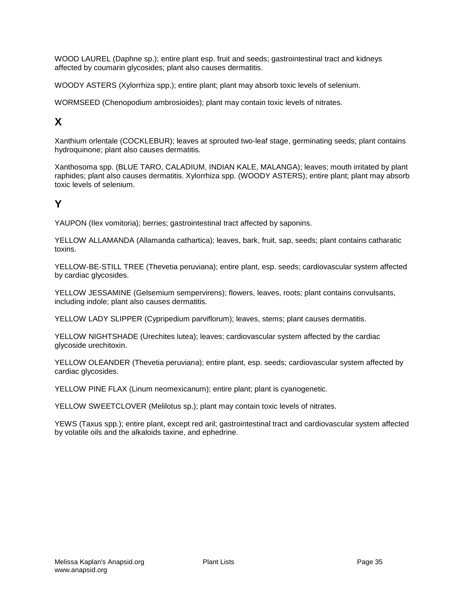WOOD LAUREL (Daphne sp.); entire plant esp. fruit and seeds; gastrointestinal tract and kidneys affected by coumarin glycosides; plant also causes dermatitis.

WOODY ASTERS (Xylorrhiza spp.); entire plant; plant may absorb toxic levels of selenium.

WORMSEED (Chenopodium ambrosioides); plant may contain toxic levels of nitrates.

# **X**

Xanthium orlentale (COCKLEBUR); leaves at sprouted two-leaf stage, germinating seeds; plant contains hydroquinone; plant also causes dermatitis.

Xanthosoma spp. (BLUE TARO, CALADIUM, INDIAN KALE, MALANGA); leaves; mouth irritated by plant raphides; plant also causes dermatitis. Xylorrhiza spp. (WOODY ASTERS); entire plant; plant may absorb toxic levels of selenium.

# **Y**

YAUPON (Ilex vomitoria); berries; gastrointestinal tract affected by saponins.

YELLOW ALLAMANDA (Allamanda cathartica); leaves, bark, fruit, sap, seeds; plant contains catharatic toxins.

YELLOW-BE-STILL TREE (Thevetia peruviana); entire plant, esp. seeds; cardiovascular system affected by cardiac glycosides.

YELLOW JESSAMINE (Gelsemium sempervirens); flowers, leaves, roots; plant contains convulsants, including indole; plant also causes dermatitis.

YELLOW LADY SLIPPER (Cypripedium parviflorum); leaves, stems; plant causes dermatitis.

YELLOW NIGHTSHADE (Urechites lutea); leaves; cardiovascular system affected by the cardiac glycoside urechitoxin.

YELLOW OLEANDER (Thevetia peruviana); entire plant, esp. seeds; cardiovascular system affected by cardiac glycosides.

YELLOW PINE FLAX (Linum neomexicanum); entire plant; plant is cyanogenetic.

YELLOW SWEETCLOVER (Melilotus sp.); plant may contain toxic levels of nitrates.

YEWS (Taxus spp.); entire plant, except red aril; gastrointestinal tract and cardiovascular system affected by volatile oils and the alkaloids taxine, and ephedrine.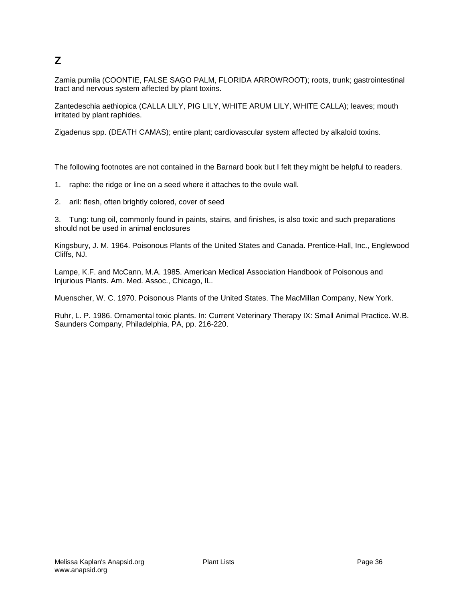# **Z**

Zamia pumila (COONTIE, FALSE SAGO PALM, FLORIDA ARROWROOT); roots, trunk; gastrointestinal tract and nervous system affected by plant toxins.

Zantedeschia aethiopica (CALLA LILY, PIG LILY, WHITE ARUM LILY, WHITE CALLA); leaves; mouth irritated by plant raphides.

Zigadenus spp. (DEATH CAMAS); entire plant; cardiovascular system affected by alkaloid toxins.

The following footnotes are not contained in the Barnard book but I felt they might be helpful to readers.

- 1. raphe: the ridge or line on a seed where it attaches to the ovule wall.
- 2. aril: flesh, often brightly colored, cover of seed

3. Tung: tung oil, commonly found in paints, stains, and finishes, is also toxic and such preparations should not be used in animal enclosures

Kingsbury, J. M. 1964. Poisonous Plants of the United States and Canada. Prentice-Hall, Inc., Englewood Cliffs, NJ.

Lampe, K.F. and McCann, M.A. 1985. American Medical Association Handbook of Poisonous and Injurious Plants. Am. Med. Assoc., Chicago, IL.

Muenscher, W. C. 1970. Poisonous Plants of the United States. The MacMillan Company, New York.

Ruhr, L. P. 1986. Ornamental toxic plants. In: Current Veterinary Therapy IX: Small Animal Practice. W.B. Saunders Company, Philadelphia, PA, pp. 216-220.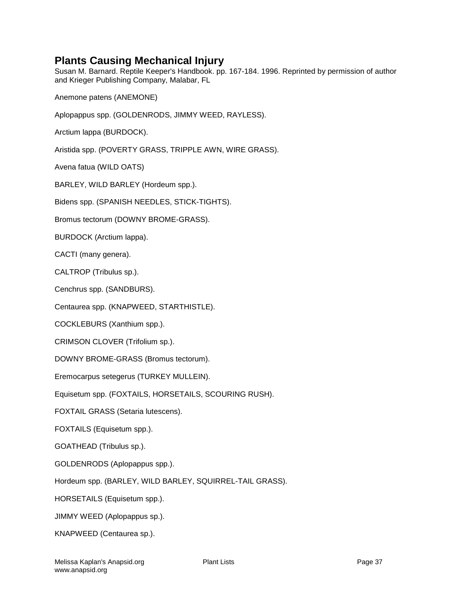### **Plants Causing Mechanical Injury**

Susan M. Barnard. Reptile Keeper's Handbook. pp. 167-184. 1996. Reprinted by permission of author and Krieger Publishing Company, Malabar, FL

Anemone patens (ANEMONE)

Aplopappus spp. (GOLDENRODS, JIMMY WEED, RAYLESS).

Arctium lappa (BURDOCK).

Aristida spp. (POVERTY GRASS, TRIPPLE AWN, WIRE GRASS).

Avena fatua (WILD OATS)

BARLEY, WILD BARLEY (Hordeum spp.).

Bidens spp. (SPANISH NEEDLES, STICK-TIGHTS).

Bromus tectorum (DOWNY BROME-GRASS).

BURDOCK (Arctium lappa).

CACTI (many genera).

CALTROP (Tribulus sp.).

Cenchrus spp. (SANDBURS).

Centaurea spp. (KNAPWEED, STARTHISTLE).

COCKLEBURS (Xanthium spp.).

CRIMSON CLOVER (Trifolium sp.).

DOWNY BROME-GRASS (Bromus tectorum).

Eremocarpus setegerus (TURKEY MULLEIN).

Equisetum spp. (FOXTAILS, HORSETAILS, SCOURING RUSH).

FOXTAIL GRASS (Setaria lutescens).

FOXTAILS (Equisetum spp.).

GOATHEAD (Tribulus sp.).

GOLDENRODS (Aplopappus spp.).

Hordeum spp. (BARLEY, WILD BARLEY, SQUIRREL-TAIL GRASS).

HORSETAILS (Equisetum spp.).

JIMMY WEED (Aplopappus sp.).

KNAPWEED (Centaurea sp.).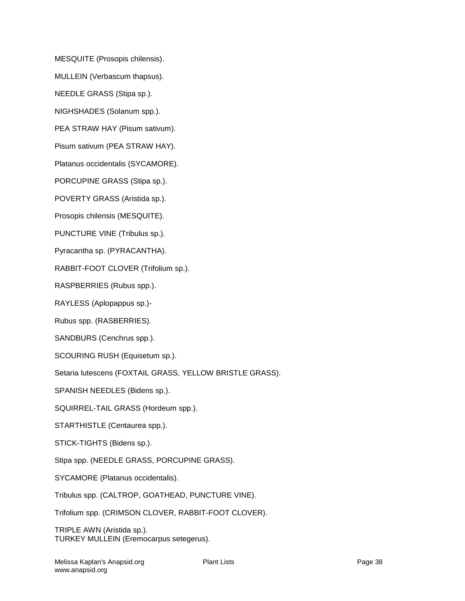MESQUITE (Prosopis chilensis).

MULLEIN (Verbascum thapsus).

NEEDLE GRASS (Stipa sp.).

NIGHSHADES (Solanum spp.).

PEA STRAW HAY (Pisum sativum).

Pisum sativum (PEA STRAW HAY).

Platanus occidentalis (SYCAMORE).

PORCUPINE GRASS (Stipa sp.).

POVERTY GRASS (Aristida sp.).

Prosopis chilensis (MESQUITE).

PUNCTURE VINE (Tribulus sp.).

Pyracantha sp. (PYRACANTHA).

RABBIT-FOOT CLOVER (Trifolium sp.).

RASPBERRIES (Rubus spp.).

RAYLESS (Aplopappus sp.)-

Rubus spp. (RASBERRIES).

SANDBURS (Cenchrus spp.).

SCOURING RUSH (Equisetum sp.).

Setaria lutescens (FOXTAIL GRASS, YELLOW BRISTLE GRASS).

SPANISH NEEDLES (Bidens sp.).

SQUIRREL-TAIL GRASS (Hordeum spp.).

STARTHISTLE (Centaurea spp.).

STICK-TIGHTS (Bidens sp.).

Stipa spp. (NEEDLE GRASS, PORCUPINE GRASS).

SYCAMORE (Platanus occidentalis).

Tribulus spp. (CALTROP, GOATHEAD, PUNCTURE VINE).

Trifolium spp. (CRIMSON CLOVER, RABBIT-FOOT CLOVER).

TRIPLE AWN (Aristida sp.). TURKEY MULLEIN (Eremocarpus setegerus).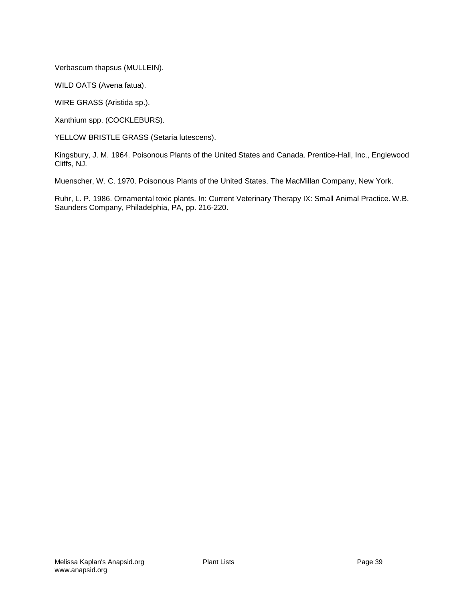Verbascum thapsus (MULLEIN).

WILD OATS (Avena fatua).

WIRE GRASS (Aristida sp.).

Xanthium spp. (COCKLEBURS).

YELLOW BRISTLE GRASS (Setaria lutescens).

Kingsbury, J. M. 1964. Poisonous Plants of the United States and Canada. Prentice-Hall, Inc., Englewood Cliffs, NJ.

Muenscher, W. C. 1970. Poisonous Plants of the United States. The MacMillan Company, New York.

Ruhr, L. P. 1986. Ornamental toxic plants. In: Current Veterinary Therapy IX: Small Animal Practice. W.B. Saunders Company, Philadelphia, PA, pp. 216-220.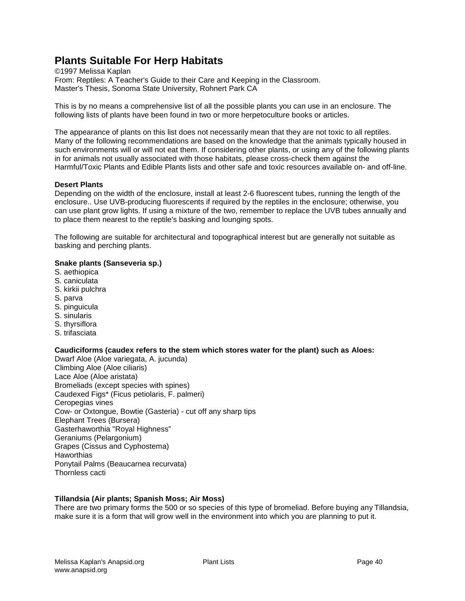## **Plants Suitable For Herp Habitats**

©1997 Melissa Kaplan From: Reptiles: A Teacher's Guide to their Care and Keeping in the Classroom. Master's Thesis, Sonoma State University, Rohnert Park CA

This is by no means a comprehensive list of all the possible plants you can use in an enclosure. The following lists of plants have been found in two or more herpetoculture books or articles.

The appearance of plants on this list does not necessarily mean that they are not toxic to all reptiles. Many of the following recommendations are based on the knowledge that the animals typically housed in such environments will or will not eat them. If considering other plants, or using any of the following plants in for animals not usually associated with those habitats, please cross-check them against the Harmful/Toxic Plants and Edible Plants lists and other safe and toxic resources available on- and off-line.

#### **Desert Plants**

Depending on the width of the enclosure, install at least 2-6 fluorescent tubes, running the length of the enclosure.. Use UVB-producing fluorescents if required by the reptiles in the enclosure; otherwise, you can use plant grow lights. If using a mixture of the two, remember to replace the UVB tubes annually and to place them nearest to the reptile's basking and lounging spots.

The following are suitable for architectural and topographical interest but are generally not suitable as basking and perching plants.

#### **Snake plants (Sanseveria sp.)**

- S. aethiopica
- S. caniculata
- S. kirkii pulchra
- S. parva
- S. pinguicula
- S. sinularis
- S. thyrsiflora
- S. trifasciata

### **Caudiciforms (caudex refers to the stem which stores water for the plant) such as Aloes:**

Dwarf Aloe (Aloe variegata, A. jucunda) Climbing Aloe (Aloe ciliaris) Lace Aloe (Aloe aristata) Bromeliads (except species with spines) Caudexed Figs\* (Ficus petiolaris, F. palmeri) Ceropegias vines Cow- or Oxtongue, Bowtie (Gasteria) - cut off any sharp tips Elephant Trees (Bursera) Gasterhaworthia "Royal Highness" Geraniums (Pelargonium) Grapes (Cissus and Cyphostema) **Haworthias** Ponytail Palms (Beaucarnea recurvata) Thornless cacti

### **Tillandsia (Air plants; Spanish Moss; Air Moss)**

There are two primary forms the 500 or so species of this type of bromeliad. Before buying any Tillandsia, make sure it is a form that will grow well in the environment into which you are planning to put it.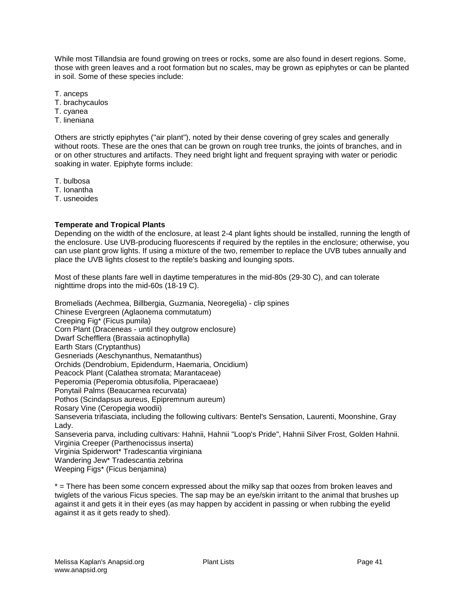While most Tillandsia are found growing on trees or rocks, some are also found in desert regions. Some, those with green leaves and a root formation but no scales, may be grown as epiphytes or can be planted in soil. Some of these species include:

T. anceps

T. brachycaulos

- T. cyanea
- T. lineniana

Others are strictly epiphytes ("air plant"), noted by their dense covering of grey scales and generally without roots. These are the ones that can be grown on rough tree trunks, the joints of branches, and in or on other structures and artifacts. They need bright light and frequent spraying with water or periodic soaking in water. Epiphyte forms include:

T. bulbosa

- T. Ionantha
- T. usneoides

#### **Temperate and Tropical Plants**

Depending on the width of the enclosure, at least 2-4 plant lights should be installed, running the length of the enclosure. Use UVB-producing fluorescents if required by the reptiles in the enclosure; otherwise, you can use plant grow lights. If using a mixture of the two, remember to replace the UVB tubes annually and place the UVB lights closest to the reptile's basking and lounging spots.

Most of these plants fare well in daytime temperatures in the mid-80s (29-30 C), and can tolerate nighttime drops into the mid-60s (18-19 C).

Bromeliads (Aechmea, Billbergia, Guzmania, Neoregelia) - clip spines Chinese Evergreen (Aglaonema commutatum) Creeping Fig\* (Ficus pumila) Corn Plant (Draceneas - until they outgrow enclosure) Dwarf Schefflera (Brassaia actinophylla) Earth Stars (Cryptanthus) Gesneriads (Aeschynanthus, Nematanthus) Orchids (Dendrobium, Epidendurm, Haemaria, Oncidium) Peacock Plant (Calathea stromata; Marantaceae) Peperomia (Peperomia obtusifolia, Piperacaeae) Ponytail Palms (Beaucarnea recurvata) Pothos (Scindapsus aureus, Epipremnum aureum) Rosary Vine (Ceropegia woodii) Sanseveria trifasciata, including the following cultivars: Bentel's Sensation, Laurenti, Moonshine, Gray Lady. Sanseveria parva, including cultivars: Hahnii, Hahnii "Loop's Pride", Hahnii Silver Frost, Golden Hahnii. Virginia Creeper (Parthenocissus inserta) Virginia Spiderwort\* Tradescantia virginiana Wandering Jew\* Tradescantia zebrina Weeping Figs\* (Ficus benjamina)

\* = There has been some concern expressed about the milky sap that oozes from broken leaves and twiglets of the various Ficus species. The sap may be an eye/skin irritant to the animal that brushes up against it and gets it in their eyes (as may happen by accident in passing or when rubbing the eyelid against it as it gets ready to shed).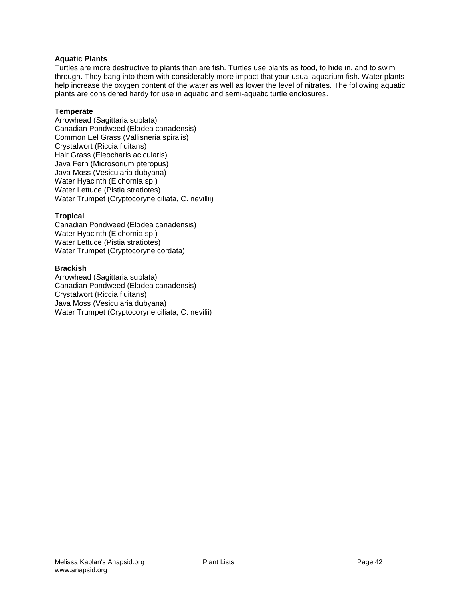#### **Aquatic Plants**

Turtles are more destructive to plants than are fish. Turtles use plants as food, to hide in, and to swim through. They bang into them with considerably more impact that your usual aquarium fish. Water plants help increase the oxygen content of the water as well as lower the level of nitrates. The following aquatic plants are considered hardy for use in aquatic and semi-aquatic turtle enclosures.

#### **Temperate**

Arrowhead (Sagittaria sublata) Canadian Pondweed (Elodea canadensis) Common Eel Grass (Vallisneria spiralis) Crystalwort (Riccia fluitans) Hair Grass (Eleocharis acicularis) Java Fern (Microsorium pteropus) Java Moss (Vesicularia dubyana) Water Hyacinth (Eichornia sp.) Water Lettuce (Pistia stratiotes) Water Trumpet (Cryptocoryne ciliata, C. nevillii)

#### **Tropical**

Canadian Pondweed (Elodea canadensis) Water Hyacinth (Eichornia sp.) Water Lettuce (Pistia stratiotes) Water Trumpet (Cryptocoryne cordata)

#### **Brackish**

Arrowhead (Sagittaria sublata) Canadian Pondweed (Elodea canadensis) Crystalwort (Riccia fluitans) Java Moss (Vesicularia dubyana) Water Trumpet (Cryptocoryne ciliata, C. nevilii)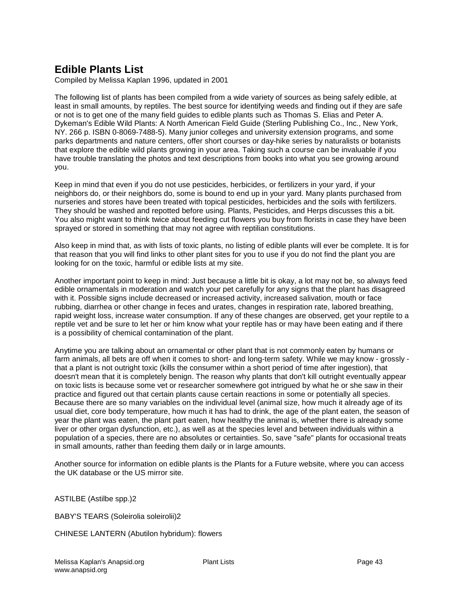# **Edible Plants List**

Compiled by Melissa Kaplan 1996, updated in 2001

The following list of plants has been compiled from a wide variety of sources as being safely edible, at least in small amounts, by reptiles. The best source for identifying weeds and finding out if they are safe or not is to get one of the many field guides to edible plants such as Thomas S. Elias and Peter A. Dykeman's Edible Wild Plants: A North American Field Guide (Sterling Publishing Co., Inc., New York, NY. 266 p. ISBN 0-8069-7488-5). Many junior colleges and university extension programs, and some parks departments and nature centers, offer short courses or day-hike series by naturalists or botanists that explore the edible wild plants growing in your area. Taking such a course can be invaluable if you have trouble translating the photos and text descriptions from books into what you see growing around you.

Keep in mind that even if you do not use pesticides, herbicides, or fertilizers in your yard, if your neighbors do, or their neighbors do, some is bound to end up in your yard. Many plants purchased from nurseries and stores have been treated with topical pesticides, herbicides and the soils with fertilizers. They should be washed and repotted before using. Plants, Pesticides, and Herps discusses this a bit. You also might want to think twice about feeding cut flowers you buy from florists in case they have been sprayed or stored in something that may not agree with reptilian constitutions.

Also keep in mind that, as with lists of toxic plants, no listing of edible plants will ever be complete. It is for that reason that you will find links to other plant sites for you to use if you do not find the plant you are looking for on the toxic, harmful or edible lists at my site.

Another important point to keep in mind: Just because a little bit is okay, a lot may not be, so always feed edible ornamentals in moderation and watch your pet carefully for any signs that the plant has disagreed with it. Possible signs include decreased or increased activity, increased salivation, mouth or face rubbing, diarrhea or other change in feces and urates, changes in respiration rate, labored breathing, rapid weight loss, increase water consumption. If any of these changes are observed, get your reptile to a reptile vet and be sure to let her or him know what your reptile has or may have been eating and if there is a possibility of chemical contamination of the plant.

Anytime you are talking about an ornamental or other plant that is not commonly eaten by humans or farm animals, all bets are off when it comes to short- and long-term safety. While we may know - grossly that a plant is not outright toxic (kills the consumer within a short period of time after ingestion), that doesn't mean that it is completely benign. The reason why plants that don't kill outright eventually appear on toxic lists is because some vet or researcher somewhere got intrigued by what he or she saw in their practice and figured out that certain plants cause certain reactions in some or potentially all species. Because there are so many variables on the individual level (animal size, how much it already age of its usual diet, core body temperature, how much it has had to drink, the age of the plant eaten, the season of year the plant was eaten, the plant part eaten, how healthy the animal is, whether there is already some liver or other organ dysfunction, etc.), as well as at the species level and between individuals within a population of a species, there are no absolutes or certainties. So, save "safe" plants for occasional treats in small amounts, rather than feeding them daily or in large amounts.

Another source for information on edible plants is the Plants for a Future website, where you can access the UK database or the US mirror site.

ASTILBE (Astilbe spp.)2

BABY'S TEARS (Soleirolia soleirolii)2

CHINESE LANTERN (Abutilon hybridum): flowers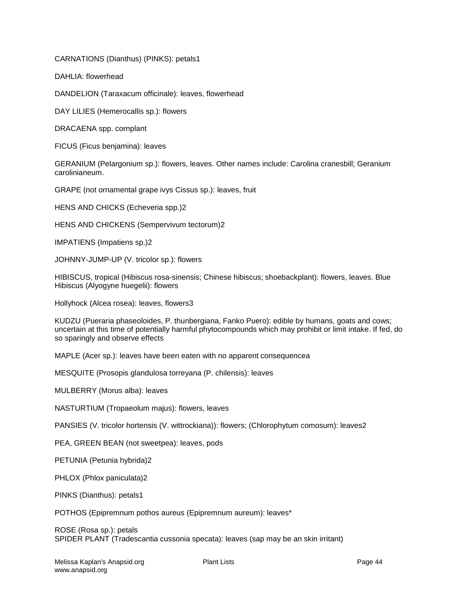CARNATIONS (Dianthus) (PINKS): petals1

DAHLIA: flowerhead

DANDELION (Taraxacum officinale): leaves, flowerhead

DAY LILIES (Hemerocallis sp.): flowers

DRACAENA spp. cornplant

FICUS (Ficus benjamina): leaves

GERANIUM (Pelargonium sp.): flowers, leaves. Other names include: Carolina cranesbill; Geranium carolinianeum.

GRAPE (not ornamental grape ivys Cissus sp.): leaves, fruit

HENS AND CHICKS (Echeveria spp.)2

HENS AND CHICKENS (Sempervivum tectorum)2

IMPATIENS (Impatiens sp.)2

JOHNNY-JUMP-UP (V. tricolor sp.): flowers

HIBISCUS, tropical (Hibiscus rosa-sinensis; Chinese hibiscus; shoebackplant): flowers, leaves. Blue Hibiscus (Alyogyne huegelii): flowers

Hollyhock (Alcea rosea): leaves, flowers3

KUDZU (Pueraria phaseoloides, P. thunbergiana, Fanko Puero): edible by humans, goats and cows; uncertain at this time of potentially harmful phytocompounds which may prohibit or limit intake. If fed, do so sparingly and observe effects

MAPLE (Acer sp.): leaves have been eaten with no apparent consequencea

MESQUITE (Prosopis glandulosa torreyana (P. chilensis): leaves

MULBERRY (Morus alba): leaves

NASTURTIUM (Tropaeolum majus): flowers, leaves

PANSIES (V. tricolor hortensis (V. wittrockiana)): flowers; (Chlorophytum comosum): leaves2

PEA, GREEN BEAN (not sweetpea): leaves, pods

PETUNIA (Petunia hybrida)2

PHLOX (Phlox paniculata)2

PINKS (Dianthus): petals1

POTHOS (Epipremnum pothos aureus (Epipremnum aureum): leaves\*

ROSE (Rosa sp.): petals SPIDER PLANT (Tradescantia cussonia specata): leaves (sap may be an skin irritant)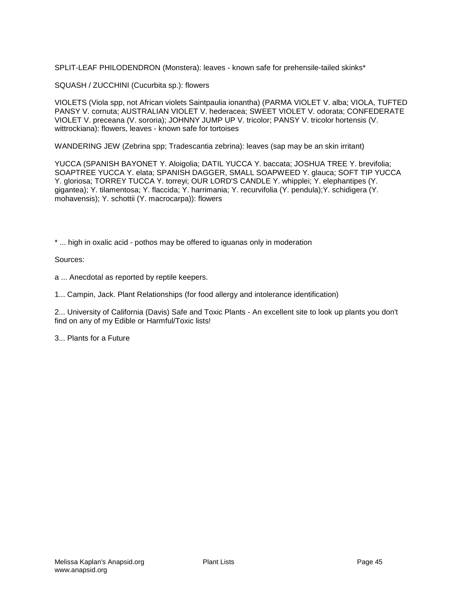SPLIT-LEAF PHILODENDRON (Monstera): leaves - known safe for prehensile-tailed skinks\*

SQUASH / ZUCCHINI (Cucurbita sp.): flowers

VIOLETS (Viola spp, not African violets Saintpaulia ionantha) (PARMA VIOLET V. alba; VIOLA, TUFTED PANSY V. cornuta; AUSTRALIAN VIOLET V. hederacea; SWEET VIOLET V. odorata; CONFEDERATE VIOLET V. preceana (V. sororia); JOHNNY JUMP UP V. tricolor; PANSY V. tricolor hortensis (V. wittrockiana): flowers, leaves - known safe for tortoises

WANDERING JEW (Zebrina spp; Tradescantia zebrina): leaves (sap may be an skin irritant)

YUCCA (SPANISH BAYONET Y. Aloigolia; DATIL YUCCA Y. baccata; JOSHUA TREE Y. brevifolia; SOAPTREE YUCCA Y. elata; SPANISH DAGGER, SMALL SOAPWEED Y. glauca; SOFT TIP YUCCA Y. gloriosa; TORREY TUCCA Y. torreyi; OUR LORD'S CANDLE Y. whipplei; Y. elephantipes (Y. gigantea); Y. tilamentosa; Y. flaccida; Y. harrimania; Y. recurvifolia (Y. pendula);Y. schidigera (Y. mohavensis); Y. schottii (Y. macrocarpa)): flowers

\* ... high in oxalic acid - pothos may be offered to iguanas only in moderation

Sources:

a ... Anecdotal as reported by reptile keepers.

1... Campin, Jack. Plant Relationships (for food allergy and intolerance identification)

2... University of California (Davis) Safe and Toxic Plants - An excellent site to look up plants you don't find on any of my Edible or Harmful/Toxic lists!

3... Plants for a Future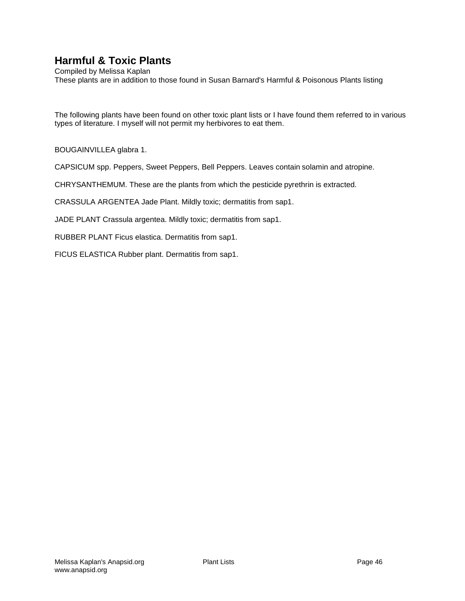## **Harmful & Toxic Plants**

Compiled by Melissa Kaplan These plants are in addition to those found in Susan Barnard's Harmful & Poisonous Plants listing

The following plants have been found on other toxic plant lists or I have found them referred to in various types of literature. I myself will not permit my herbivores to eat them.

BOUGAINVILLEA glabra 1.

CAPSICUM spp. Peppers, Sweet Peppers, Bell Peppers. Leaves contain solamin and atropine.

CHRYSANTHEMUM. These are the plants from which the pesticide pyrethrin is extracted.

CRASSULA ARGENTEA Jade Plant. Mildly toxic; dermatitis from sap1.

JADE PLANT Crassula argentea. Mildly toxic; dermatitis from sap1.

RUBBER PLANT Ficus elastica. Dermatitis from sap1.

FICUS ELASTICA Rubber plant. Dermatitis from sap1.